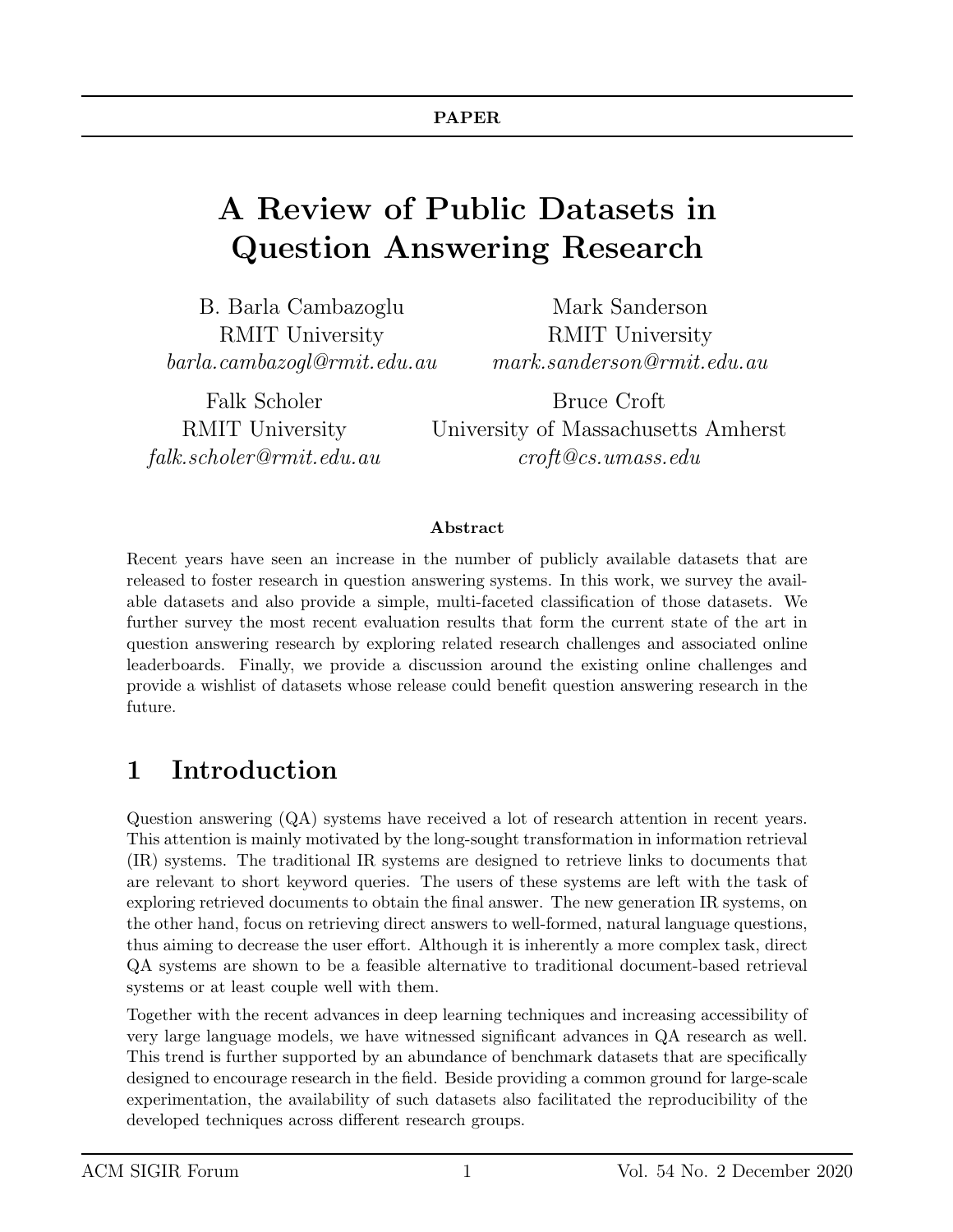# A Review of Public Datasets in Question Answering Research

B. Barla Cambazoglu RMIT University barla.cambazogl@rmit.edu.au

Falk Scholer RMIT University falk.scholer@rmit.edu.au

Mark Sanderson RMIT University mark.sanderson@rmit.edu.au

Bruce Croft University of Massachusetts Amherst croft@cs.umass.edu

#### Abstract

Recent years have seen an increase in the number of publicly available datasets that are released to foster research in question answering systems. In this work, we survey the available datasets and also provide a simple, multi-faceted classification of those datasets. We further survey the most recent evaluation results that form the current state of the art in question answering research by exploring related research challenges and associated online leaderboards. Finally, we provide a discussion around the existing online challenges and provide a wishlist of datasets whose release could benefit question answering research in the future.

## 1 Introduction

Question answering (QA) systems have received a lot of research attention in recent years. This attention is mainly motivated by the long-sought transformation in information retrieval (IR) systems. The traditional IR systems are designed to retrieve links to documents that are relevant to short keyword queries. The users of these systems are left with the task of exploring retrieved documents to obtain the final answer. The new generation IR systems, on the other hand, focus on retrieving direct answers to well-formed, natural language questions, thus aiming to decrease the user effort. Although it is inherently a more complex task, direct QA systems are shown to be a feasible alternative to traditional document-based retrieval systems or at least couple well with them.

Together with the recent advances in deep learning techniques and increasing accessibility of very large language models, we have witnessed significant advances in QA research as well. This trend is further supported by an abundance of benchmark datasets that are specifically designed to encourage research in the field. Beside providing a common ground for large-scale experimentation, the availability of such datasets also facilitated the reproducibility of the developed techniques across different research groups.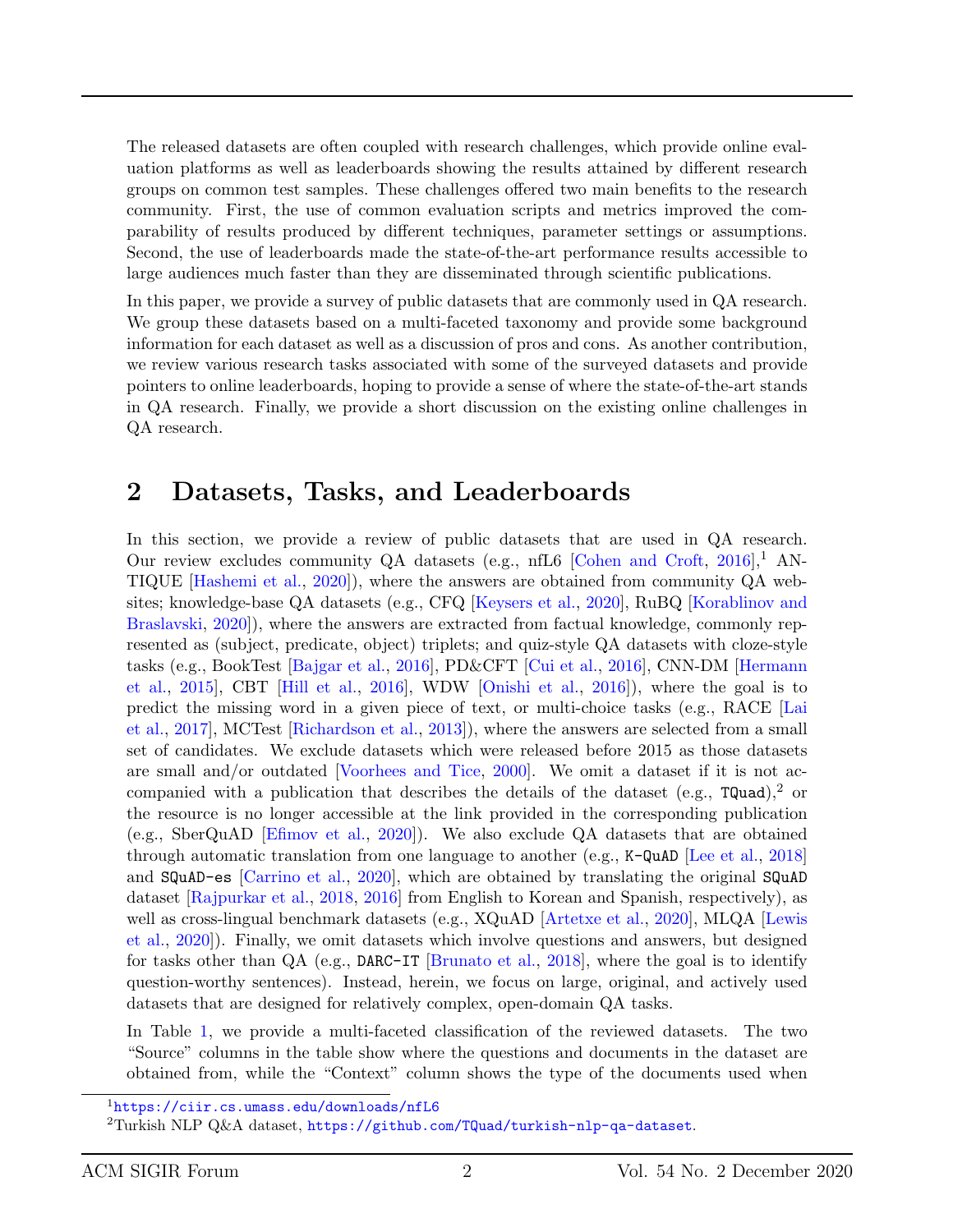The released datasets are often coupled with research challenges, which provide online evaluation platforms as well as leaderboards showing the results attained by different research groups on common test samples. These challenges offered two main benefits to the research community. First, the use of common evaluation scripts and metrics improved the comparability of results produced by different techniques, parameter settings or assumptions. Second, the use of leaderboards made the state-of-the-art performance results accessible to large audiences much faster than they are disseminated through scientific publications.

In this paper, we provide a survey of public datasets that are commonly used in QA research. We group these datasets based on a multi-faceted taxonomy and provide some background information for each dataset as well as a discussion of pros and cons. As another contribution, we review various research tasks associated with some of the surveyed datasets and provide pointers to online leaderboards, hoping to provide a sense of where the state-of-the-art stands in QA research. Finally, we provide a short discussion on the existing online challenges in QA research.

### 2 Datasets, Tasks, and Leaderboards

In this section, we provide a review of public datasets that are used in QA research. Our review excludes community QA datasets (e.g., nfL6 [\[Cohen and Croft,](#page-18-0)  $2016$ ], AN-TIQUE [\[Hashemi et al.,](#page-19-0) [2020\]](#page-19-0)), where the answers are obtained from community QA websites; knowledge-base QA datasets (e.g., CFQ [\[Keysers et al.,](#page-20-0) [2020\]](#page-20-0), RuBQ [\[Korablinov and](#page-20-1) [Braslavski,](#page-20-1) [2020\]](#page-20-1)), where the answers are extracted from factual knowledge, commonly represented as (subject, predicate, object) triplets; and quiz-style QA datasets with cloze-style tasks (e.g., BookTest [\[Bajgar et al.,](#page-18-1) [2016\]](#page-18-1), PD&CFT [\[Cui et al.,](#page-18-2) [2016\]](#page-18-2), CNN-DM [\[Hermann](#page-19-1) [et al.,](#page-19-1) [2015\]](#page-19-1), CBT [\[Hill et al.,](#page-19-2) [2016\]](#page-19-2), WDW [\[Onishi et al.,](#page-21-0) [2016\]](#page-21-0)), where the goal is to predict the missing word in a given piece of text, or multi-choice tasks (e.g., RACE [\[Lai](#page-20-2) [et al.,](#page-20-2) [2017\]](#page-20-2), MCTest [\[Richardson et al.,](#page-21-1) [2013\]](#page-21-1)), where the answers are selected from a small set of candidates. We exclude datasets which were released before 2015 as those datasets are small and/or outdated [\[Voorhees and Tice,](#page-21-2) [2000\]](#page-21-2). We omit a dataset if it is not accompanied with a publication that describes the details of the dataset (e.g.,  $TQuad$ ),<sup>2</sup> or the resource is no longer accessible at the link provided in the corresponding publication (e.g., SberQuAD [\[Efimov et al.,](#page-19-3) [2020\]](#page-19-3)). We also exclude QA datasets that are obtained through automatic translation from one language to another (e.g., K-QuAD [\[Lee et al.,](#page-20-3) [2018\]](#page-20-3) and SQuAD-es [\[Carrino et al.,](#page-18-3) [2020\]](#page-18-3), which are obtained by translating the original SQuAD dataset [\[Rajpurkar et al.,](#page-21-3) [2018,](#page-21-3) [2016\]](#page-21-4) from English to Korean and Spanish, respectively), as well as cross-lingual benchmark datasets (e.g., XQuAD [\[Artetxe et al.,](#page-18-4) [2020\]](#page-18-4), MLQA [\[Lewis](#page-20-4) [et al.,](#page-20-4) [2020\]](#page-20-4)). Finally, we omit datasets which involve questions and answers, but designed for tasks other than  $QA$  (e.g., DARC-IT [\[Brunato et al.,](#page-18-5) [2018\]](#page-18-5), where the goal is to identify question-worthy sentences). Instead, herein, we focus on large, original, and actively used datasets that are designed for relatively complex, open-domain QA tasks.

In Table [1,](#page-3-0) we provide a multi-faceted classification of the reviewed datasets. The two "Source" columns in the table show where the questions and documents in the dataset are obtained from, while the "Context" column shows the type of the documents used when

<sup>1</sup><https://ciir.cs.umass.edu/downloads/nfL6>

<sup>2</sup>Turkish NLP Q&A dataset, <https://github.com/TQuad/turkish-nlp-qa-dataset>.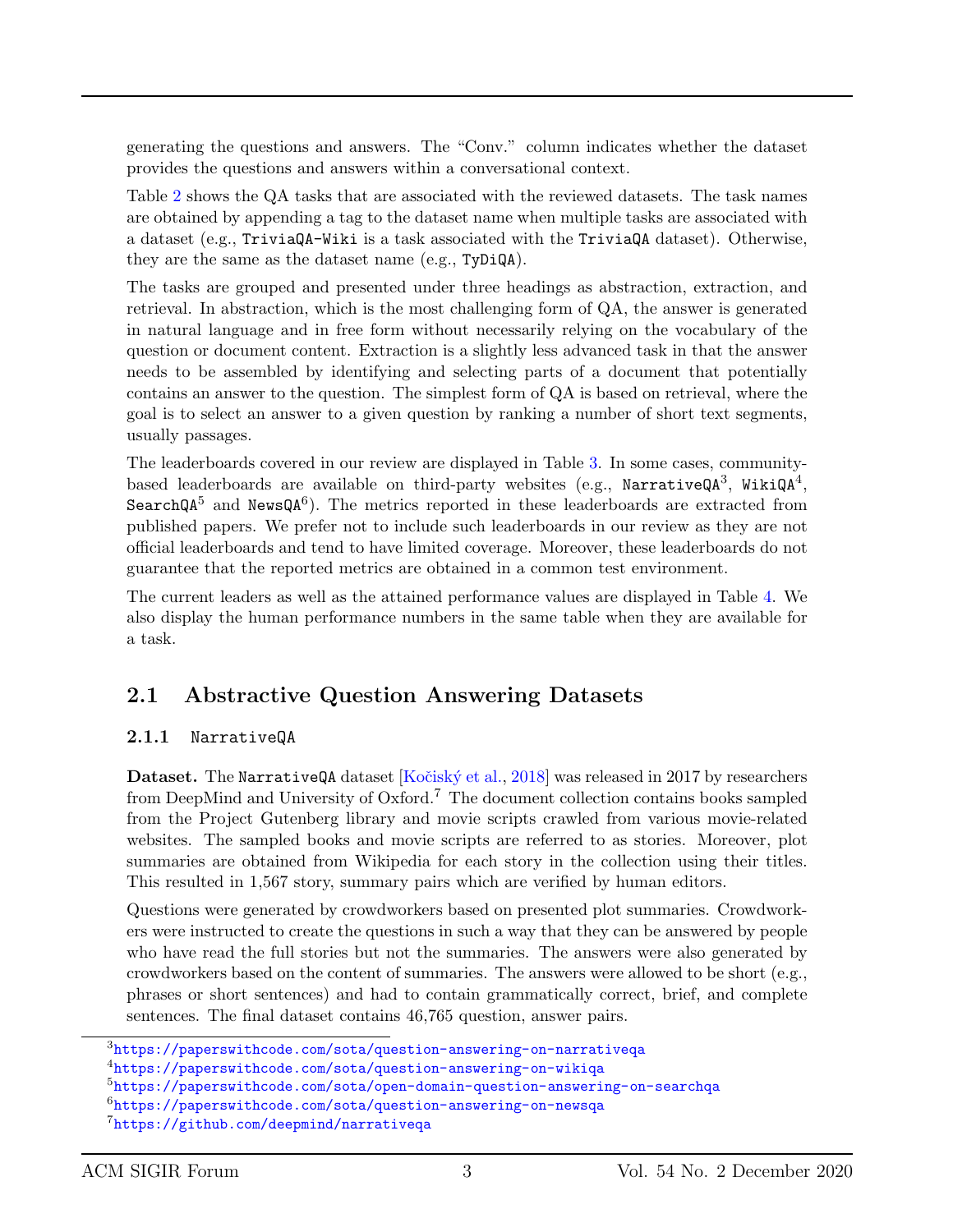generating the questions and answers. The "Conv." column indicates whether the dataset provides the questions and answers within a conversational context.

Table [2](#page-4-0) shows the QA tasks that are associated with the reviewed datasets. The task names are obtained by appending a tag to the dataset name when multiple tasks are associated with a dataset (e.g., TriviaQA-Wiki is a task associated with the TriviaQA dataset). Otherwise, they are the same as the dataset name (e.g., TyDiQA).

The tasks are grouped and presented under three headings as abstraction, extraction, and retrieval. In abstraction, which is the most challenging form of QA, the answer is generated in natural language and in free form without necessarily relying on the vocabulary of the question or document content. Extraction is a slightly less advanced task in that the answer needs to be assembled by identifying and selecting parts of a document that potentially contains an answer to the question. The simplest form of QA is based on retrieval, where the goal is to select an answer to a given question by ranking a number of short text segments, usually passages.

The leaderboards covered in our review are displayed in Table [3.](#page-5-0) In some cases, communitybased leaderboards are available on third-party websites (e.g., NarrativeQA<sup>3</sup>, WikiQA<sup>4</sup>, SearchQA<sup>5</sup> and NewsQA<sup>6</sup>). The metrics reported in these leaderboards are extracted from published papers. We prefer not to include such leaderboards in our review as they are not official leaderboards and tend to have limited coverage. Moreover, these leaderboards do not guarantee that the reported metrics are obtained in a common test environment.

The current leaders as well as the attained performance values are displayed in Table [4.](#page-6-0) We also display the human performance numbers in the same table when they are available for a task.

### 2.1 Abstractive Question Answering Datasets

#### 2.1.1 NarrativeQA

Dataset. The NarrativeQA dataset [Kočiský et al., [2018\]](#page-20-5) was released in 2017 by researchers from DeepMind and University of Oxford.<sup>7</sup> The document collection contains books sampled from the Project Gutenberg library and movie scripts crawled from various movie-related websites. The sampled books and movie scripts are referred to as stories. Moreover, plot summaries are obtained from Wikipedia for each story in the collection using their titles. This resulted in 1,567 story, summary pairs which are verified by human editors.

Questions were generated by crowdworkers based on presented plot summaries. Crowdworkers were instructed to create the questions in such a way that they can be answered by people who have read the full stories but not the summaries. The answers were also generated by crowdworkers based on the content of summaries. The answers were allowed to be short (e.g., phrases or short sentences) and had to contain grammatically correct, brief, and complete sentences. The final dataset contains 46,765 question, answer pairs.

 $3$ <https://paperswithcode.com/sota/question-answering-on-narrativeqa>

<sup>4</sup><https://paperswithcode.com/sota/question-answering-on-wikiqa>

<sup>5</sup><https://paperswithcode.com/sota/open-domain-question-answering-on-searchqa>

 $6$ <https://paperswithcode.com/sota/question-answering-on-newsqa>

<sup>7</sup><https://github.com/deepmind/narrativeqa>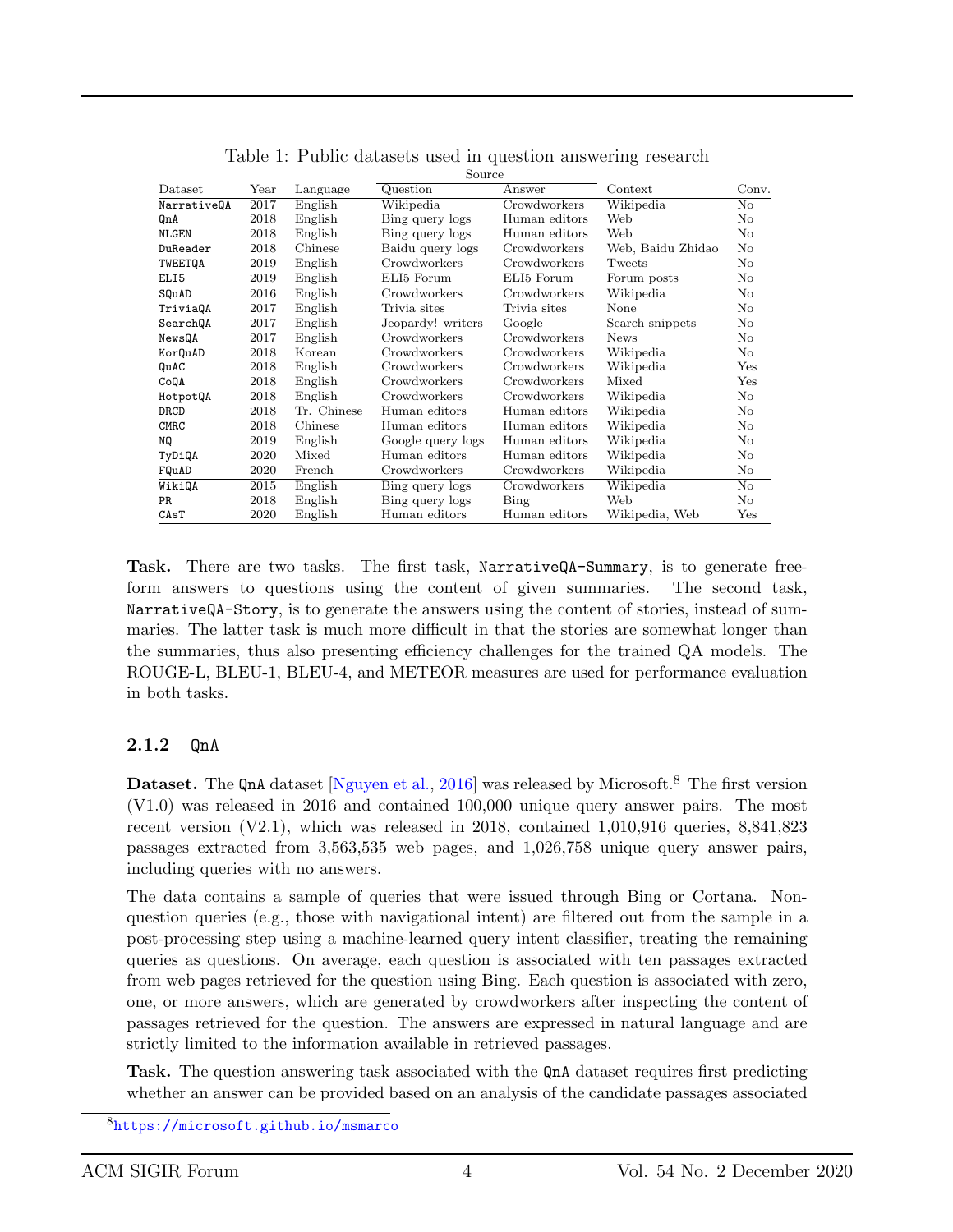|             |                       |             | Source            |               |                   |              |
|-------------|-----------------------|-------------|-------------------|---------------|-------------------|--------------|
| Dataset     | $\operatorname{Year}$ | Language    | Question          | Answer        | Context           | Conv.        |
| NarrativeQA | 2017                  | English     | Wikipedia         | Crowdworkers  | Wikipedia         | No           |
| QnA         | 2018                  | English     | Bing query logs   | Human editors | Web               | No           |
| NLGEN       | 2018                  | English     | Bing query logs   | Human editors | Web               | No           |
| DuReader    | 2018                  | Chinese     | Baidu query logs  | Crowdworkers  | Web, Baidu Zhidao | No           |
| TWEETQA     | 2019                  | English     | Crowdworkers      | Crowdworkers  | Tweets            | No           |
| ELI5        | 2019                  | English     | ELI5 Forum        | ELI5 Forum    | Forum posts       | No           |
| SQuAD       | 2016                  | English     | Crowdworkers      | Crowdworkers  | Wikipedia         | No           |
| TriviaQA    | 2017                  | English     | Trivia sites      | Trivia sites  | None              | No           |
| SearchQA    | 2017                  | English     | Jeopardy! writers | Google        | Search snippets   | No           |
| NewsQA      | 2017                  | English     | Crowdworkers      | Crowdworkers  | <b>News</b>       | No           |
| KorQuAD     | 2018                  | Korean      | Crowdworkers      | Crowdworkers  | Wikipedia         | No           |
| QuAC        | 2018                  | English     | Crowdworkers      | Crowdworkers  | Wikipedia         | $_{\rm Yes}$ |
| CoQA        | 2018                  | English     | Crowdworkers      | Crowdworkers  | Mixed             | Yes          |
| HotpotQA    | 2018                  | English     | Crowdworkers      | Crowdworkers  | Wikipedia         | No           |
| DRCD        | 2018                  | Tr. Chinese | Human editors     | Human editors | Wikipedia         | No           |
| CMRC        | 2018                  | Chinese     | Human editors     | Human editors | Wikipedia         | No           |
| ΝQ          | 2019                  | English     | Google query logs | Human editors | Wikipedia         | No           |
| TyDiQA      | 2020                  | Mixed       | Human editors     | Human editors | Wikipedia         | No           |
| FQuAD       | 2020                  | French      | Crowdworkers      | Crowdworkers  | Wikipedia         | No           |
| WikiQA      | 2015                  | English     | Bing query logs   | Crowdworkers  | Wikipedia         | No           |
| PR.         | 2018                  | English     | Bing query logs   | Bing          | Web               | No           |
| CAST        | 2020                  | English     | Human editors     | Human editors | Wikipedia, Web    | Yes          |

<span id="page-3-0"></span>Table 1: Public datasets used in question answering research

Task. There are two tasks. The first task, NarrativeQA-Summary, is to generate freeform answers to questions using the content of given summaries. The second task, NarrativeQA-Story, is to generate the answers using the content of stories, instead of summaries. The latter task is much more difficult in that the stories are somewhat longer than the summaries, thus also presenting efficiency challenges for the trained QA models. The ROUGE-L, BLEU-1, BLEU-4, and METEOR measures are used for performance evaluation in both tasks.

#### <span id="page-3-1"></span>2.1.2 QnA

Dataset. The QnA dataset [\[Nguyen et al.,](#page-20-6) [2016\]](#page-20-6) was released by Microsoft.<sup>8</sup> The first version (V1.0) was released in 2016 and contained 100,000 unique query answer pairs. The most recent version (V2.1), which was released in 2018, contained 1,010,916 queries, 8,841,823 passages extracted from 3,563,535 web pages, and 1,026,758 unique query answer pairs, including queries with no answers.

The data contains a sample of queries that were issued through Bing or Cortana. Nonquestion queries (e.g., those with navigational intent) are filtered out from the sample in a post-processing step using a machine-learned query intent classifier, treating the remaining queries as questions. On average, each question is associated with ten passages extracted from web pages retrieved for the question using Bing. Each question is associated with zero, one, or more answers, which are generated by crowdworkers after inspecting the content of passages retrieved for the question. The answers are expressed in natural language and are strictly limited to the information available in retrieved passages.

Task. The question answering task associated with the  $\text{OnA}$  dataset requires first predicting whether an answer can be provided based on an analysis of the candidate passages associated

<sup>8</sup><https://microsoft.github.io/msmarco>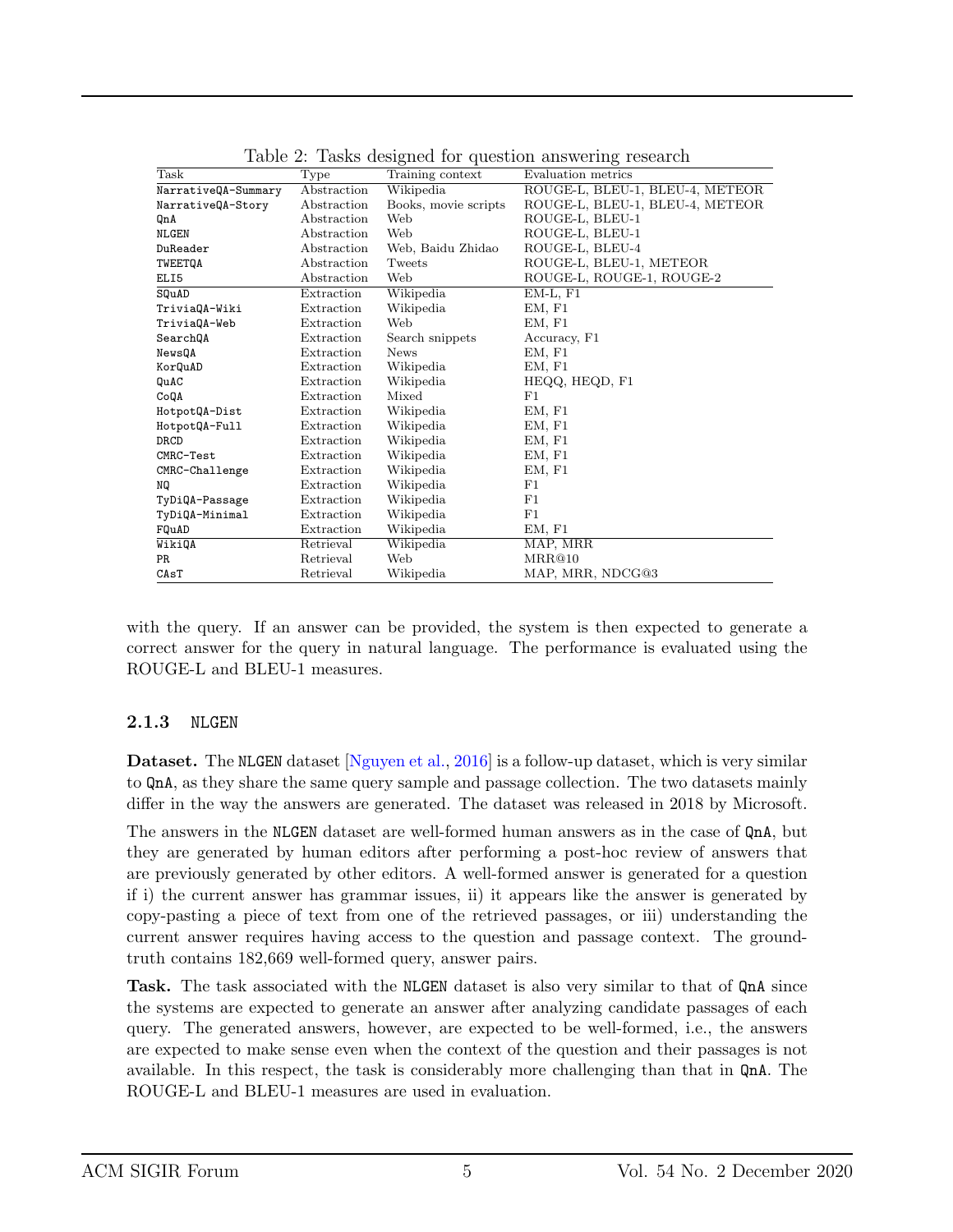| Task                | Type        | Training context     | Evaluation metrics              |
|---------------------|-------------|----------------------|---------------------------------|
| NarrativeQA-Summary | Abstraction | Wikipedia            | ROUGE-L, BLEU-1, BLEU-4, METEOR |
| NarrativeQA-Story   | Abstraction | Books, movie scripts | ROUGE-L, BLEU-1, BLEU-4, METEOR |
| QnA                 | Abstraction | Web                  | ROUGE-L, BLEU-1                 |
| NLGEN               | Abstraction | Web                  | ROUGE-L, BLEU-1                 |
| DuReader            | Abstraction | Web, Baidu Zhidao    | ROUGE-L, BLEU-4                 |
| TWEETQA             | Abstraction | Tweets               | ROUGE-L, BLEU-1, METEOR         |
| ELI5                | Abstraction | Web                  | ROUGE-L, ROUGE-1, ROUGE-2       |
| SQuAD               | Extraction  | Wikipedia            | $EM-L, F1$                      |
| TriviaQA-Wiki       | Extraction  | Wikipedia            | EM, F1                          |
| TriviaQA-Web        | Extraction  | Web                  | EM, F1                          |
| SearchQA            | Extraction  | Search snippets      | Accuracy, F1                    |
| NewsQA              | Extraction  | <b>News</b>          | EM, F1                          |
| KorQuAD             | Extraction  | Wikipedia            | EM, F1                          |
| QuAC                | Extraction  | Wikipedia            | HEQQ, HEQD, F1                  |
| CoQA                | Extraction  | Mixed                | F1                              |
| HotpotQA-Dist       | Extraction  | Wikipedia            | EM, F1                          |
| HotpotQA-Full       | Extraction  | Wikipedia            | EM, F1                          |
| DRCD                | Extraction  | Wikipedia            | EM, F1                          |
| CMRC-Test           | Extraction  | Wikipedia            | EM, F1                          |
| CMRC-Challenge      | Extraction  | Wikipedia            | EM, F1                          |
| NQ                  | Extraction  | Wikipedia            | F1                              |
| TyDiQA-Passage      | Extraction  | Wikipedia            | F1                              |
| TyDiQA-Minimal      | Extraction  | Wikipedia            | F1                              |
| FQuAD               | Extraction  | Wikipedia            | EM, F1                          |
| WikiQA              | Retrieval   | Wikipedia            | MAP, MRR                        |
| PR                  | Retrieval   | Web                  | MRR@10                          |
| CAsT                | Retrieval   | Wikipedia            | MAP, MRR, NDCG@3                |

<span id="page-4-0"></span>Table 2: Tasks designed for question answering research

with the query. If an answer can be provided, the system is then expected to generate a correct answer for the query in natural language. The performance is evaluated using the ROUGE-L and BLEU-1 measures.

#### 2.1.3 NLGEN

Dataset. The NLGEN dataset [\[Nguyen et al.,](#page-20-6) [2016\]](#page-20-6) is a follow-up dataset, which is very similar to QnA, as they share the same query sample and passage collection. The two datasets mainly differ in the way the answers are generated. The dataset was released in 2018 by Microsoft.

The answers in the NLGEN dataset are well-formed human answers as in the case of QnA, but they are generated by human editors after performing a post-hoc review of answers that are previously generated by other editors. A well-formed answer is generated for a question if i) the current answer has grammar issues, ii) it appears like the answer is generated by copy-pasting a piece of text from one of the retrieved passages, or iii) understanding the current answer requires having access to the question and passage context. The groundtruth contains 182,669 well-formed query, answer pairs.

Task. The task associated with the NLGEN dataset is also very similar to that of QnA since the systems are expected to generate an answer after analyzing candidate passages of each query. The generated answers, however, are expected to be well-formed, i.e., the answers are expected to make sense even when the context of the question and their passages is not available. In this respect, the task is considerably more challenging than that in QnA. The ROUGE-L and BLEU-1 measures are used in evaluation.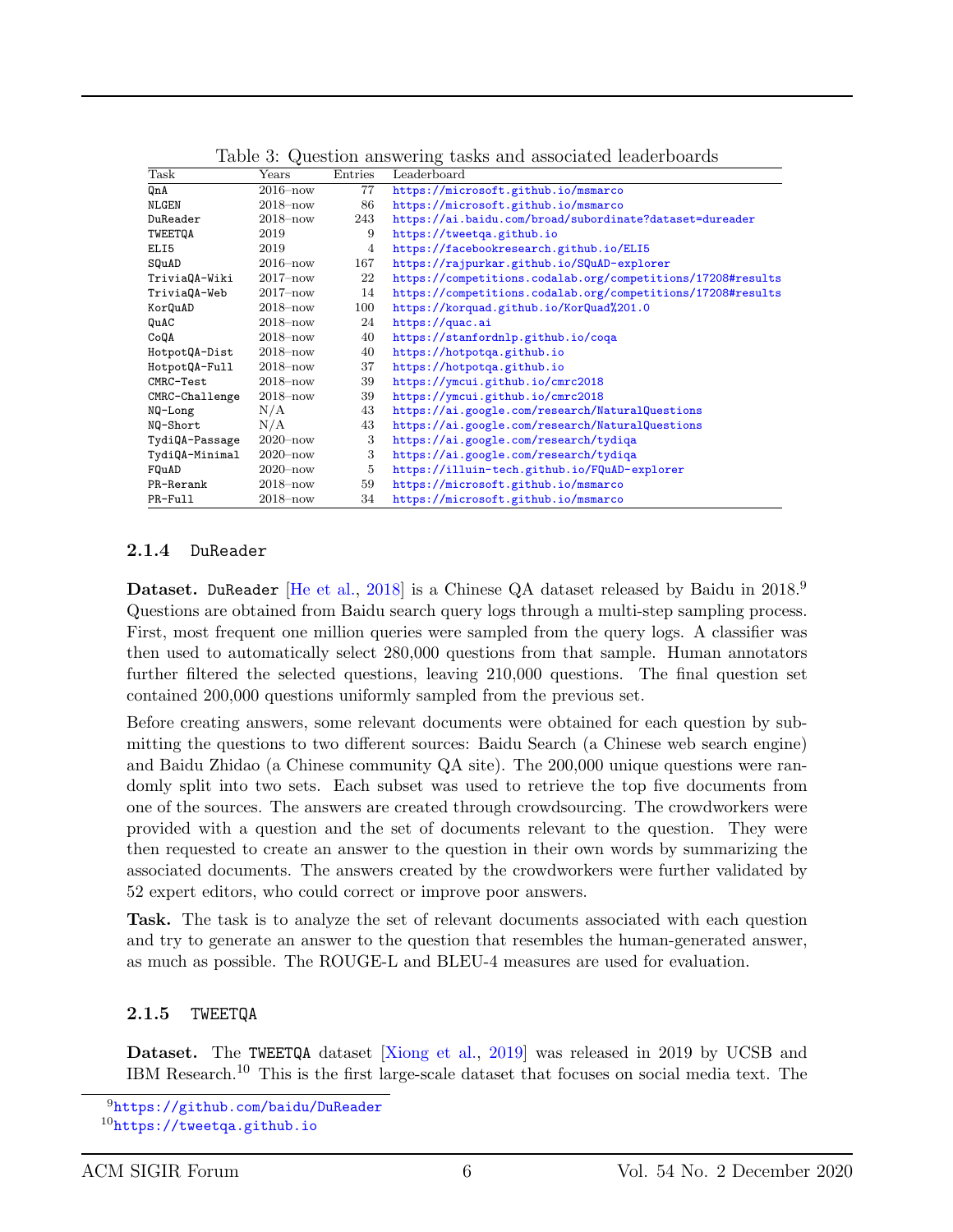| <b>Task</b>    | Years        | Entries | Leaderboard                                                 |
|----------------|--------------|---------|-------------------------------------------------------------|
| QnA            | $2016 - now$ | 77      | https://microsoft.github.io/msmarco                         |
| <b>NLGEN</b>   | $2018 - now$ | 86      | https://microsoft.github.io/msmarco                         |
| DuReader       | $2018 - now$ | 243     | https://ai.baidu.com/broad/subordinate?dataset=dureader     |
| TWEETQA        | 2019         | 9       | https://tweetqa.github.io                                   |
| ELI5           | 2019         | 4       | https://facebookresearch.github.io/ELI5                     |
| SQuAD          | $2016 - now$ | 167     | https://rajpurkar.github.io/SQuAD-explorer                  |
| TriviaQA-Wiki  | $2017 - now$ | 22      | https://competitions.codalab.org/competitions/17208#results |
| TriviaQA-Web   | $2017 - now$ | 14      | https://competitions.codalab.org/competitions/17208#results |
| KorQuAD        | $2018 - now$ | 100     | https://korquad.github.io/KorQuad%201.0                     |
| QuAC           | $2018 - now$ | 24      | https://quac.ai                                             |
| CoQA           | $2018 - now$ | 40      | https://stanfordnlp.github.io/coqa                          |
| HotpotQA-Dist  | $2018 - now$ | 40      | https://hotpotqa.github.io                                  |
| HotpotQA-Full  | $2018 - now$ | 37      | https://hotpotqa.github.io                                  |
| CMRC-Test      | $2018 - now$ | 39      | https://ymcui.github.io/cmrc2018                            |
| CMRC-Challenge | $2018 - now$ | 39      | https://ymcui.github.io/cmrc2018                            |
| NQ-Long        | N/A          | 43      | https://ai.google.com/research/NaturalQuestions             |
| NQ-Short       | N/A          | 43      | https://ai.google.com/research/NaturalQuestions             |
| TydiQA-Passage | $2020 - now$ | 3       | https://ai.google.com/research/tydiqa                       |
| TydiQA-Minimal | $2020 - now$ | 3       | https://ai.google.com/research/tydiqa                       |
| FQuAD          | $2020 - now$ | 5       | https://illuin-tech.github.io/FQuAD-explorer                |
| PR-Rerank      | $2018 - now$ | 59      | https://microsoft.github.io/msmarco                         |
| PR-Full        | $2018 - now$ | 34      | https://microsoft.github.io/msmarco                         |

<span id="page-5-0"></span>Table 3: Question answering tasks and associated leaderboards

#### 2.1.4 DuReader

Dataset. DuReader [\[He et al.,](#page-19-4) [2018\]](#page-19-4) is a Chinese QA dataset released by Baidu in 2018.<sup>9</sup> Questions are obtained from Baidu search query logs through a multi-step sampling process. First, most frequent one million queries were sampled from the query logs. A classifier was then used to automatically select 280,000 questions from that sample. Human annotators further filtered the selected questions, leaving 210,000 questions. The final question set contained 200,000 questions uniformly sampled from the previous set.

Before creating answers, some relevant documents were obtained for each question by submitting the questions to two different sources: Baidu Search (a Chinese web search engine) and Baidu Zhidao (a Chinese community QA site). The 200,000 unique questions were randomly split into two sets. Each subset was used to retrieve the top five documents from one of the sources. The answers are created through crowdsourcing. The crowdworkers were provided with a question and the set of documents relevant to the question. They were then requested to create an answer to the question in their own words by summarizing the associated documents. The answers created by the crowdworkers were further validated by 52 expert editors, who could correct or improve poor answers.

Task. The task is to analyze the set of relevant documents associated with each question and try to generate an answer to the question that resembles the human-generated answer, as much as possible. The ROUGE-L and BLEU-4 measures are used for evaluation.

#### 2.1.5 TWEETQA

Dataset. The TWEETQA dataset [\[Xiong et al.,](#page-21-5) [2019\]](#page-21-5) was released in 2019 by UCSB and IBM Research.<sup>10</sup> This is the first large-scale dataset that focuses on social media text. The

<sup>9</sup><https://github.com/baidu/DuReader>

<sup>10</sup><https://tweetqa.github.io>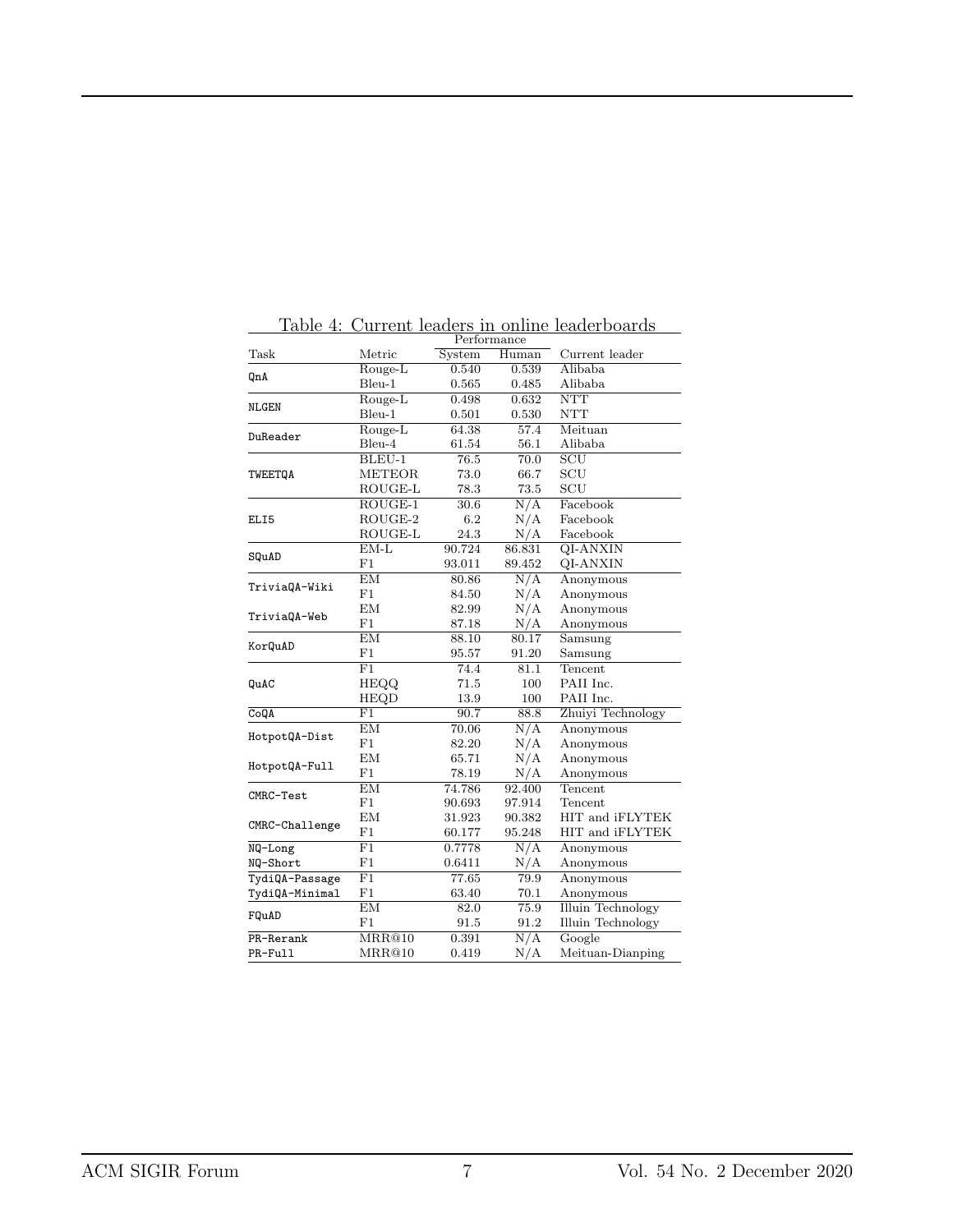| Task<br>Current leader<br>System<br>Alibaba<br>Rouge-L<br>0.540<br>0.539<br>QnA<br>$Bleu-1$<br>Alibaba<br>0.565<br>0.485<br><b>NTT</b><br>Rouge-L<br>0.498<br>0.632<br><b>NLGEN</b><br>Bleu-1<br><b>NTT</b><br>0.501<br>0.530<br>Meituan<br>Rouge-L<br>64.38<br>57.4<br>DuReader<br>Bleu-4<br>56.1<br>Alibaba<br>61.54<br>SCU<br>BLEU-1<br>76.5<br>70.0<br><b>METEOR</b><br>SCU<br>73.0<br>66.7<br>TWEETQA<br>SCU<br>ROUGE-L<br>78.3<br>73.5<br>$\overline{\mathrm{ROUGE-1}}$<br>$\overline{N/A}$<br>Facebook<br>30.6<br>$ROUGE-2$<br>N/A<br>6.2<br>Facebook<br>ELI5<br>ROUGE-L<br>24.3<br>N/A<br>Facebook<br>$EM-L$<br>90.724<br>86.831<br>QI-ANXIN<br>SQuAD<br>F1<br>93.011<br>89.452<br>QI-ANXIN<br>EM<br>$\overline{N/A}$<br>80.86<br>Anonymous<br>TriviaQA-Wiki<br>N/A<br>F1<br>84.50<br>Anonymous<br>ΕM<br>N/A<br>82.99<br>Anonymous<br>TriviaQA-Web<br>F1<br>N/A<br>87.18<br>Anonymous<br>EM<br>80.17<br>88.10<br>Samsung<br>KorQuAD<br>F1<br>91.20<br>95.57<br>Samsung<br>F1<br>Tencent<br>74.4<br>81.1<br>PAII Inc.<br>HEQQ<br>71.5<br>100<br>QuAC<br><b>HEQD</b><br>PAII Inc.<br>100<br>13.9<br>Zhuiyi Technology<br>F1<br>90.7<br>88.8<br>CoQA<br>N/A<br><b>EM</b><br>70.06<br>Anonymous<br>HotpotQA-Dist<br>F1<br>N/A<br>82.20<br>Anonymous<br><b>EM</b><br>N/A<br>65.71<br>Anonymous<br>HotpotQA-Full<br>F1<br>N/A<br>78.19<br>Anonymous<br>EM<br>Tencent<br>74.786<br>92.400<br>CMRC-Test<br>F1<br>97.914<br>90.693<br>Tencent<br>EM<br>HIT and iFLYTEK<br>31.923<br>90.382<br>CMRC-Challenge<br>F1<br>95.248<br>HIT and iFLYTEK<br>60.177<br>$\overline{F1}$<br>N/A<br>0.7778<br>Anonymous<br>NQ-Long<br>F1<br>$\rm N/A$<br>0.6411<br>NQ-Short<br>Anonymous<br>$\overline{\mathrm{F1}}$<br>TydiQA-Passage<br>79.9<br>77.65<br>Anonymous<br>F1<br>TydiQA-Minimal<br>63.40<br>70.1<br>Anonymous<br>EM<br>82.0<br><b>Illuin Technology</b><br>75.9<br>FQuAD<br>F1<br>91.5<br>91.2<br>Illuin Technology<br>N/A<br>Google<br>PR-Rerank<br>MRR@10<br>0.391<br>MRR@10<br>0.419<br>PR-Full | Performance |  |       |                  |
|---------------------------------------------------------------------------------------------------------------------------------------------------------------------------------------------------------------------------------------------------------------------------------------------------------------------------------------------------------------------------------------------------------------------------------------------------------------------------------------------------------------------------------------------------------------------------------------------------------------------------------------------------------------------------------------------------------------------------------------------------------------------------------------------------------------------------------------------------------------------------------------------------------------------------------------------------------------------------------------------------------------------------------------------------------------------------------------------------------------------------------------------------------------------------------------------------------------------------------------------------------------------------------------------------------------------------------------------------------------------------------------------------------------------------------------------------------------------------------------------------------------------------------------------------------------------------------------------------------------------------------------------------------------------------------------------------------------------------------------------------------------------------------------------------------------------------------------------------------------------------------------------------------------------------------------------------------------------------------------------------|-------------|--|-------|------------------|
|                                                                                                                                                                                                                                                                                                                                                                                                                                                                                                                                                                                                                                                                                                                                                                                                                                                                                                                                                                                                                                                                                                                                                                                                                                                                                                                                                                                                                                                                                                                                                                                                                                                                                                                                                                                                                                                                                                                                                                                                   | Metric      |  | Human |                  |
|                                                                                                                                                                                                                                                                                                                                                                                                                                                                                                                                                                                                                                                                                                                                                                                                                                                                                                                                                                                                                                                                                                                                                                                                                                                                                                                                                                                                                                                                                                                                                                                                                                                                                                                                                                                                                                                                                                                                                                                                   |             |  |       |                  |
|                                                                                                                                                                                                                                                                                                                                                                                                                                                                                                                                                                                                                                                                                                                                                                                                                                                                                                                                                                                                                                                                                                                                                                                                                                                                                                                                                                                                                                                                                                                                                                                                                                                                                                                                                                                                                                                                                                                                                                                                   |             |  |       |                  |
|                                                                                                                                                                                                                                                                                                                                                                                                                                                                                                                                                                                                                                                                                                                                                                                                                                                                                                                                                                                                                                                                                                                                                                                                                                                                                                                                                                                                                                                                                                                                                                                                                                                                                                                                                                                                                                                                                                                                                                                                   |             |  |       |                  |
|                                                                                                                                                                                                                                                                                                                                                                                                                                                                                                                                                                                                                                                                                                                                                                                                                                                                                                                                                                                                                                                                                                                                                                                                                                                                                                                                                                                                                                                                                                                                                                                                                                                                                                                                                                                                                                                                                                                                                                                                   |             |  |       |                  |
|                                                                                                                                                                                                                                                                                                                                                                                                                                                                                                                                                                                                                                                                                                                                                                                                                                                                                                                                                                                                                                                                                                                                                                                                                                                                                                                                                                                                                                                                                                                                                                                                                                                                                                                                                                                                                                                                                                                                                                                                   |             |  |       |                  |
|                                                                                                                                                                                                                                                                                                                                                                                                                                                                                                                                                                                                                                                                                                                                                                                                                                                                                                                                                                                                                                                                                                                                                                                                                                                                                                                                                                                                                                                                                                                                                                                                                                                                                                                                                                                                                                                                                                                                                                                                   |             |  |       |                  |
|                                                                                                                                                                                                                                                                                                                                                                                                                                                                                                                                                                                                                                                                                                                                                                                                                                                                                                                                                                                                                                                                                                                                                                                                                                                                                                                                                                                                                                                                                                                                                                                                                                                                                                                                                                                                                                                                                                                                                                                                   |             |  |       |                  |
|                                                                                                                                                                                                                                                                                                                                                                                                                                                                                                                                                                                                                                                                                                                                                                                                                                                                                                                                                                                                                                                                                                                                                                                                                                                                                                                                                                                                                                                                                                                                                                                                                                                                                                                                                                                                                                                                                                                                                                                                   |             |  |       |                  |
|                                                                                                                                                                                                                                                                                                                                                                                                                                                                                                                                                                                                                                                                                                                                                                                                                                                                                                                                                                                                                                                                                                                                                                                                                                                                                                                                                                                                                                                                                                                                                                                                                                                                                                                                                                                                                                                                                                                                                                                                   |             |  |       |                  |
|                                                                                                                                                                                                                                                                                                                                                                                                                                                                                                                                                                                                                                                                                                                                                                                                                                                                                                                                                                                                                                                                                                                                                                                                                                                                                                                                                                                                                                                                                                                                                                                                                                                                                                                                                                                                                                                                                                                                                                                                   |             |  |       |                  |
|                                                                                                                                                                                                                                                                                                                                                                                                                                                                                                                                                                                                                                                                                                                                                                                                                                                                                                                                                                                                                                                                                                                                                                                                                                                                                                                                                                                                                                                                                                                                                                                                                                                                                                                                                                                                                                                                                                                                                                                                   |             |  |       |                  |
|                                                                                                                                                                                                                                                                                                                                                                                                                                                                                                                                                                                                                                                                                                                                                                                                                                                                                                                                                                                                                                                                                                                                                                                                                                                                                                                                                                                                                                                                                                                                                                                                                                                                                                                                                                                                                                                                                                                                                                                                   |             |  |       |                  |
|                                                                                                                                                                                                                                                                                                                                                                                                                                                                                                                                                                                                                                                                                                                                                                                                                                                                                                                                                                                                                                                                                                                                                                                                                                                                                                                                                                                                                                                                                                                                                                                                                                                                                                                                                                                                                                                                                                                                                                                                   |             |  |       |                  |
|                                                                                                                                                                                                                                                                                                                                                                                                                                                                                                                                                                                                                                                                                                                                                                                                                                                                                                                                                                                                                                                                                                                                                                                                                                                                                                                                                                                                                                                                                                                                                                                                                                                                                                                                                                                                                                                                                                                                                                                                   |             |  |       |                  |
|                                                                                                                                                                                                                                                                                                                                                                                                                                                                                                                                                                                                                                                                                                                                                                                                                                                                                                                                                                                                                                                                                                                                                                                                                                                                                                                                                                                                                                                                                                                                                                                                                                                                                                                                                                                                                                                                                                                                                                                                   |             |  |       |                  |
|                                                                                                                                                                                                                                                                                                                                                                                                                                                                                                                                                                                                                                                                                                                                                                                                                                                                                                                                                                                                                                                                                                                                                                                                                                                                                                                                                                                                                                                                                                                                                                                                                                                                                                                                                                                                                                                                                                                                                                                                   |             |  |       |                  |
|                                                                                                                                                                                                                                                                                                                                                                                                                                                                                                                                                                                                                                                                                                                                                                                                                                                                                                                                                                                                                                                                                                                                                                                                                                                                                                                                                                                                                                                                                                                                                                                                                                                                                                                                                                                                                                                                                                                                                                                                   |             |  |       |                  |
|                                                                                                                                                                                                                                                                                                                                                                                                                                                                                                                                                                                                                                                                                                                                                                                                                                                                                                                                                                                                                                                                                                                                                                                                                                                                                                                                                                                                                                                                                                                                                                                                                                                                                                                                                                                                                                                                                                                                                                                                   |             |  |       |                  |
|                                                                                                                                                                                                                                                                                                                                                                                                                                                                                                                                                                                                                                                                                                                                                                                                                                                                                                                                                                                                                                                                                                                                                                                                                                                                                                                                                                                                                                                                                                                                                                                                                                                                                                                                                                                                                                                                                                                                                                                                   |             |  |       |                  |
|                                                                                                                                                                                                                                                                                                                                                                                                                                                                                                                                                                                                                                                                                                                                                                                                                                                                                                                                                                                                                                                                                                                                                                                                                                                                                                                                                                                                                                                                                                                                                                                                                                                                                                                                                                                                                                                                                                                                                                                                   |             |  |       |                  |
|                                                                                                                                                                                                                                                                                                                                                                                                                                                                                                                                                                                                                                                                                                                                                                                                                                                                                                                                                                                                                                                                                                                                                                                                                                                                                                                                                                                                                                                                                                                                                                                                                                                                                                                                                                                                                                                                                                                                                                                                   |             |  |       |                  |
|                                                                                                                                                                                                                                                                                                                                                                                                                                                                                                                                                                                                                                                                                                                                                                                                                                                                                                                                                                                                                                                                                                                                                                                                                                                                                                                                                                                                                                                                                                                                                                                                                                                                                                                                                                                                                                                                                                                                                                                                   |             |  |       |                  |
|                                                                                                                                                                                                                                                                                                                                                                                                                                                                                                                                                                                                                                                                                                                                                                                                                                                                                                                                                                                                                                                                                                                                                                                                                                                                                                                                                                                                                                                                                                                                                                                                                                                                                                                                                                                                                                                                                                                                                                                                   |             |  |       |                  |
|                                                                                                                                                                                                                                                                                                                                                                                                                                                                                                                                                                                                                                                                                                                                                                                                                                                                                                                                                                                                                                                                                                                                                                                                                                                                                                                                                                                                                                                                                                                                                                                                                                                                                                                                                                                                                                                                                                                                                                                                   |             |  |       |                  |
|                                                                                                                                                                                                                                                                                                                                                                                                                                                                                                                                                                                                                                                                                                                                                                                                                                                                                                                                                                                                                                                                                                                                                                                                                                                                                                                                                                                                                                                                                                                                                                                                                                                                                                                                                                                                                                                                                                                                                                                                   |             |  |       |                  |
|                                                                                                                                                                                                                                                                                                                                                                                                                                                                                                                                                                                                                                                                                                                                                                                                                                                                                                                                                                                                                                                                                                                                                                                                                                                                                                                                                                                                                                                                                                                                                                                                                                                                                                                                                                                                                                                                                                                                                                                                   |             |  |       |                  |
|                                                                                                                                                                                                                                                                                                                                                                                                                                                                                                                                                                                                                                                                                                                                                                                                                                                                                                                                                                                                                                                                                                                                                                                                                                                                                                                                                                                                                                                                                                                                                                                                                                                                                                                                                                                                                                                                                                                                                                                                   |             |  |       |                  |
|                                                                                                                                                                                                                                                                                                                                                                                                                                                                                                                                                                                                                                                                                                                                                                                                                                                                                                                                                                                                                                                                                                                                                                                                                                                                                                                                                                                                                                                                                                                                                                                                                                                                                                                                                                                                                                                                                                                                                                                                   |             |  |       |                  |
|                                                                                                                                                                                                                                                                                                                                                                                                                                                                                                                                                                                                                                                                                                                                                                                                                                                                                                                                                                                                                                                                                                                                                                                                                                                                                                                                                                                                                                                                                                                                                                                                                                                                                                                                                                                                                                                                                                                                                                                                   |             |  |       |                  |
|                                                                                                                                                                                                                                                                                                                                                                                                                                                                                                                                                                                                                                                                                                                                                                                                                                                                                                                                                                                                                                                                                                                                                                                                                                                                                                                                                                                                                                                                                                                                                                                                                                                                                                                                                                                                                                                                                                                                                                                                   |             |  |       |                  |
|                                                                                                                                                                                                                                                                                                                                                                                                                                                                                                                                                                                                                                                                                                                                                                                                                                                                                                                                                                                                                                                                                                                                                                                                                                                                                                                                                                                                                                                                                                                                                                                                                                                                                                                                                                                                                                                                                                                                                                                                   |             |  |       |                  |
|                                                                                                                                                                                                                                                                                                                                                                                                                                                                                                                                                                                                                                                                                                                                                                                                                                                                                                                                                                                                                                                                                                                                                                                                                                                                                                                                                                                                                                                                                                                                                                                                                                                                                                                                                                                                                                                                                                                                                                                                   |             |  |       |                  |
|                                                                                                                                                                                                                                                                                                                                                                                                                                                                                                                                                                                                                                                                                                                                                                                                                                                                                                                                                                                                                                                                                                                                                                                                                                                                                                                                                                                                                                                                                                                                                                                                                                                                                                                                                                                                                                                                                                                                                                                                   |             |  |       |                  |
|                                                                                                                                                                                                                                                                                                                                                                                                                                                                                                                                                                                                                                                                                                                                                                                                                                                                                                                                                                                                                                                                                                                                                                                                                                                                                                                                                                                                                                                                                                                                                                                                                                                                                                                                                                                                                                                                                                                                                                                                   |             |  |       |                  |
|                                                                                                                                                                                                                                                                                                                                                                                                                                                                                                                                                                                                                                                                                                                                                                                                                                                                                                                                                                                                                                                                                                                                                                                                                                                                                                                                                                                                                                                                                                                                                                                                                                                                                                                                                                                                                                                                                                                                                                                                   |             |  |       |                  |
|                                                                                                                                                                                                                                                                                                                                                                                                                                                                                                                                                                                                                                                                                                                                                                                                                                                                                                                                                                                                                                                                                                                                                                                                                                                                                                                                                                                                                                                                                                                                                                                                                                                                                                                                                                                                                                                                                                                                                                                                   |             |  |       |                  |
|                                                                                                                                                                                                                                                                                                                                                                                                                                                                                                                                                                                                                                                                                                                                                                                                                                                                                                                                                                                                                                                                                                                                                                                                                                                                                                                                                                                                                                                                                                                                                                                                                                                                                                                                                                                                                                                                                                                                                                                                   |             |  |       |                  |
|                                                                                                                                                                                                                                                                                                                                                                                                                                                                                                                                                                                                                                                                                                                                                                                                                                                                                                                                                                                                                                                                                                                                                                                                                                                                                                                                                                                                                                                                                                                                                                                                                                                                                                                                                                                                                                                                                                                                                                                                   |             |  |       |                  |
|                                                                                                                                                                                                                                                                                                                                                                                                                                                                                                                                                                                                                                                                                                                                                                                                                                                                                                                                                                                                                                                                                                                                                                                                                                                                                                                                                                                                                                                                                                                                                                                                                                                                                                                                                                                                                                                                                                                                                                                                   |             |  |       |                  |
|                                                                                                                                                                                                                                                                                                                                                                                                                                                                                                                                                                                                                                                                                                                                                                                                                                                                                                                                                                                                                                                                                                                                                                                                                                                                                                                                                                                                                                                                                                                                                                                                                                                                                                                                                                                                                                                                                                                                                                                                   |             |  | N/A   | Meituan-Dianping |

<span id="page-6-0"></span>Table 4: Current leaders in online leaderboards Performance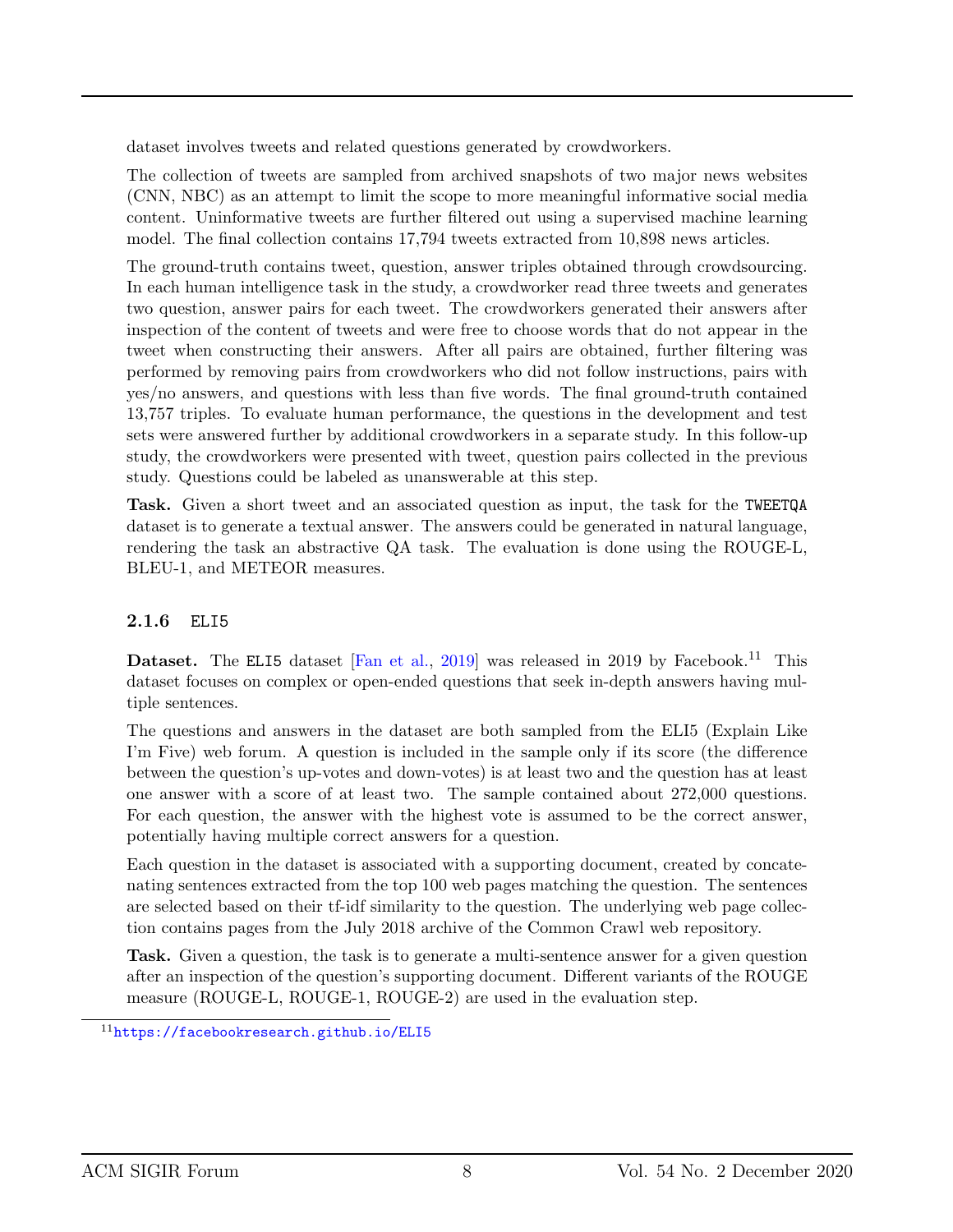dataset involves tweets and related questions generated by crowdworkers.

The collection of tweets are sampled from archived snapshots of two major news websites (CNN, NBC) as an attempt to limit the scope to more meaningful informative social media content. Uninformative tweets are further filtered out using a supervised machine learning model. The final collection contains 17,794 tweets extracted from 10,898 news articles.

The ground-truth contains tweet, question, answer triples obtained through crowdsourcing. In each human intelligence task in the study, a crowdworker read three tweets and generates two question, answer pairs for each tweet. The crowdworkers generated their answers after inspection of the content of tweets and were free to choose words that do not appear in the tweet when constructing their answers. After all pairs are obtained, further filtering was performed by removing pairs from crowdworkers who did not follow instructions, pairs with yes/no answers, and questions with less than five words. The final ground-truth contained 13,757 triples. To evaluate human performance, the questions in the development and test sets were answered further by additional crowdworkers in a separate study. In this follow-up study, the crowdworkers were presented with tweet, question pairs collected in the previous study. Questions could be labeled as unanswerable at this step.

Task. Given a short tweet and an associated question as input, the task for the TWEETQA dataset is to generate a textual answer. The answers could be generated in natural language, rendering the task an abstractive QA task. The evaluation is done using the ROUGE-L, BLEU-1, and METEOR measures.

#### 2.1.6 ELI5

Dataset. The ELI5 dataset [\[Fan et al.,](#page-19-5) [2019\]](#page-19-5) was released in 2019 by Facebook.<sup>11</sup> This dataset focuses on complex or open-ended questions that seek in-depth answers having multiple sentences.

The questions and answers in the dataset are both sampled from the ELI5 (Explain Like I'm Five) web forum. A question is included in the sample only if its score (the difference between the question's up-votes and down-votes) is at least two and the question has at least one answer with a score of at least two. The sample contained about 272,000 questions. For each question, the answer with the highest vote is assumed to be the correct answer, potentially having multiple correct answers for a question.

Each question in the dataset is associated with a supporting document, created by concatenating sentences extracted from the top 100 web pages matching the question. The sentences are selected based on their tf-idf similarity to the question. The underlying web page collection contains pages from the July 2018 archive of the Common Crawl web repository.

Task. Given a question, the task is to generate a multi-sentence answer for a given question after an inspection of the question's supporting document. Different variants of the ROUGE measure (ROUGE-L, ROUGE-1, ROUGE-2) are used in the evaluation step.

<sup>11</sup><https://facebookresearch.github.io/ELI5>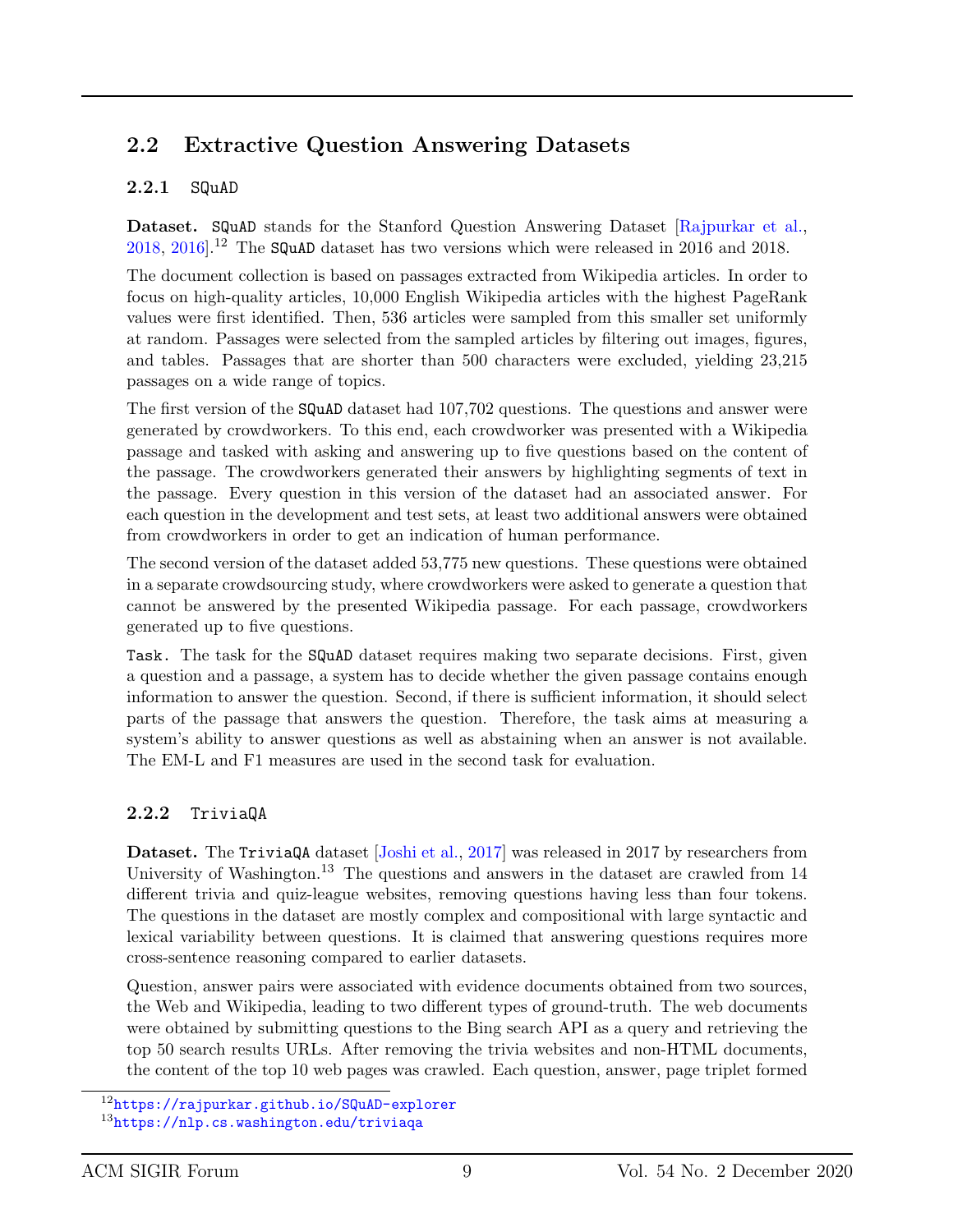### 2.2 Extractive Question Answering Datasets

#### 2.2.1 SQuAD

Dataset. SQuAD stands for the Stanford Question Answering Dataset [\[Rajpurkar et al.,](#page-21-3) [2018,](#page-21-3) [2016\]](#page-21-4).<sup>12</sup> The SQuAD dataset has two versions which were released in 2016 and 2018.

The document collection is based on passages extracted from Wikipedia articles. In order to focus on high-quality articles, 10,000 English Wikipedia articles with the highest PageRank values were first identified. Then, 536 articles were sampled from this smaller set uniformly at random. Passages were selected from the sampled articles by filtering out images, figures, and tables. Passages that are shorter than 500 characters were excluded, yielding 23,215 passages on a wide range of topics.

The first version of the SQuAD dataset had 107,702 questions. The questions and answer were generated by crowdworkers. To this end, each crowdworker was presented with a Wikipedia passage and tasked with asking and answering up to five questions based on the content of the passage. The crowdworkers generated their answers by highlighting segments of text in the passage. Every question in this version of the dataset had an associated answer. For each question in the development and test sets, at least two additional answers were obtained from crowdworkers in order to get an indication of human performance.

The second version of the dataset added 53,775 new questions. These questions were obtained in a separate crowdsourcing study, where crowdworkers were asked to generate a question that cannot be answered by the presented Wikipedia passage. For each passage, crowdworkers generated up to five questions.

Task. The task for the SQuAD dataset requires making two separate decisions. First, given a question and a passage, a system has to decide whether the given passage contains enough information to answer the question. Second, if there is sufficient information, it should select parts of the passage that answers the question. Therefore, the task aims at measuring a system's ability to answer questions as well as abstaining when an answer is not available. The EM-L and F1 measures are used in the second task for evaluation.

#### 2.2.2 TriviaQA

Dataset. The TriviaQA dataset [\[Joshi et al.,](#page-20-7) [2017\]](#page-20-7) was released in 2017 by researchers from University of Washington.<sup>13</sup> The questions and answers in the dataset are crawled from  $14$ different trivia and quiz-league websites, removing questions having less than four tokens. The questions in the dataset are mostly complex and compositional with large syntactic and lexical variability between questions. It is claimed that answering questions requires more cross-sentence reasoning compared to earlier datasets.

Question, answer pairs were associated with evidence documents obtained from two sources, the Web and Wikipedia, leading to two different types of ground-truth. The web documents were obtained by submitting questions to the Bing search API as a query and retrieving the top 50 search results URLs. After removing the trivia websites and non-HTML documents, the content of the top 10 web pages was crawled. Each question, answer, page triplet formed

<sup>12</sup><https://rajpurkar.github.io/SQuAD-explorer> <sup>13</sup><https://nlp.cs.washington.edu/triviaqa>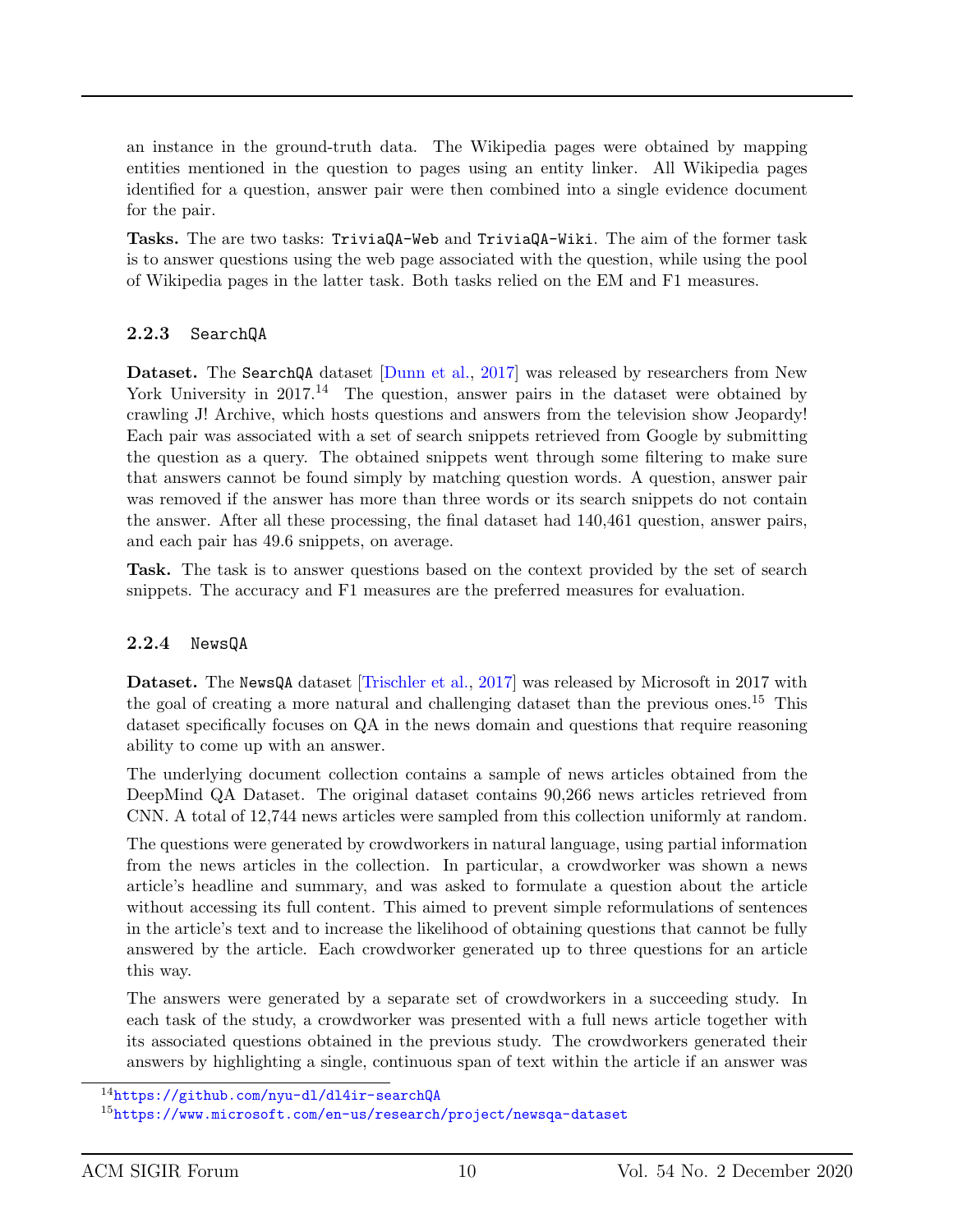an instance in the ground-truth data. The Wikipedia pages were obtained by mapping entities mentioned in the question to pages using an entity linker. All Wikipedia pages identified for a question, answer pair were then combined into a single evidence document for the pair.

Tasks. The are two tasks: TriviaQA-Web and TriviaQA-Wiki. The aim of the former task is to answer questions using the web page associated with the question, while using the pool of Wikipedia pages in the latter task. Both tasks relied on the EM and F1 measures.

#### 2.2.3 SearchQA

Dataset. The SearchQA dataset [\[Dunn et al.,](#page-19-6) [2017\]](#page-19-6) was released by researchers from New York University in  $2017<sup>14</sup>$  The question, answer pairs in the dataset were obtained by crawling J! Archive, which hosts questions and answers from the television show Jeopardy! Each pair was associated with a set of search snippets retrieved from Google by submitting the question as a query. The obtained snippets went through some filtering to make sure that answers cannot be found simply by matching question words. A question, answer pair was removed if the answer has more than three words or its search snippets do not contain the answer. After all these processing, the final dataset had 140,461 question, answer pairs, and each pair has 49.6 snippets, on average.

Task. The task is to answer questions based on the context provided by the set of search snippets. The accuracy and F1 measures are the preferred measures for evaluation.

#### 2.2.4 NewsQA

Dataset. The NewsQA dataset [\[Trischler et al.,](#page-21-6) [2017\]](#page-21-6) was released by Microsoft in 2017 with the goal of creating a more natural and challenging dataset than the previous ones.<sup>15</sup> This dataset specifically focuses on QA in the news domain and questions that require reasoning ability to come up with an answer.

The underlying document collection contains a sample of news articles obtained from the DeepMind QA Dataset. The original dataset contains 90,266 news articles retrieved from CNN. A total of 12,744 news articles were sampled from this collection uniformly at random.

The questions were generated by crowdworkers in natural language, using partial information from the news articles in the collection. In particular, a crowdworker was shown a news article's headline and summary, and was asked to formulate a question about the article without accessing its full content. This aimed to prevent simple reformulations of sentences in the article's text and to increase the likelihood of obtaining questions that cannot be fully answered by the article. Each crowdworker generated up to three questions for an article this way.

The answers were generated by a separate set of crowdworkers in a succeeding study. In each task of the study, a crowdworker was presented with a full news article together with its associated questions obtained in the previous study. The crowdworkers generated their answers by highlighting a single, continuous span of text within the article if an answer was

<sup>14</sup><https://github.com/nyu-dl/dl4ir-searchQA>

 $15$ <https://www.microsoft.com/en-us/research/project/newsqa-dataset>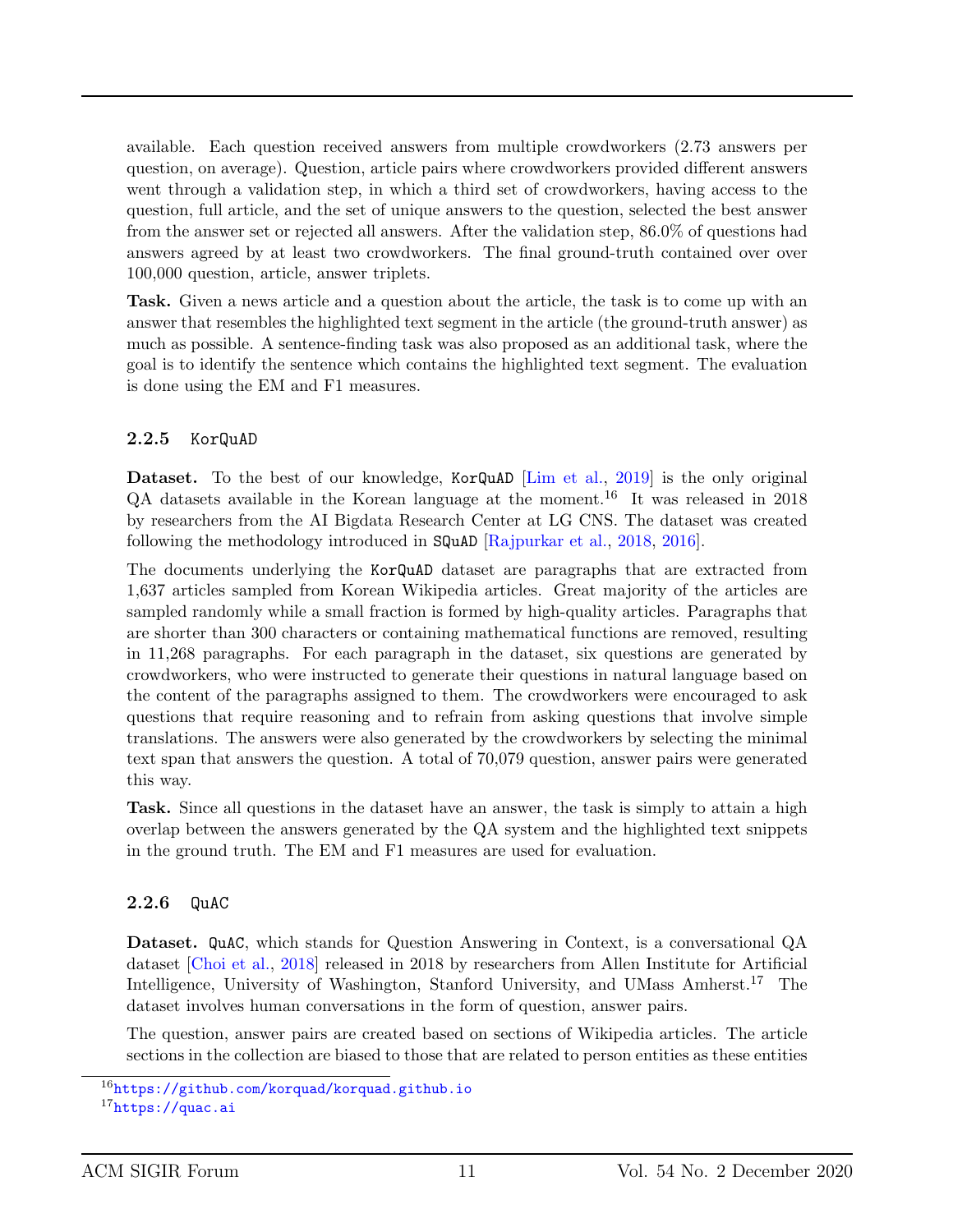available. Each question received answers from multiple crowdworkers (2.73 answers per question, on average). Question, article pairs where crowdworkers provided different answers went through a validation step, in which a third set of crowdworkers, having access to the question, full article, and the set of unique answers to the question, selected the best answer from the answer set or rejected all answers. After the validation step, 86.0% of questions had answers agreed by at least two crowdworkers. The final ground-truth contained over over 100,000 question, article, answer triplets.

Task. Given a news article and a question about the article, the task is to come up with an answer that resembles the highlighted text segment in the article (the ground-truth answer) as much as possible. A sentence-finding task was also proposed as an additional task, where the goal is to identify the sentence which contains the highlighted text segment. The evaluation is done using the EM and F1 measures.

#### 2.2.5 KorQuAD

Dataset. To the best of our knowledge, KorQuAD [\[Lim et al.,](#page-20-8) [2019\]](#page-20-8) is the only original  $QA$  datasets available in the Korean language at the moment.<sup>16</sup> It was released in 2018 by researchers from the AI Bigdata Research Center at LG CNS. The dataset was created following the methodology introduced in SQuAD [\[Rajpurkar et al.,](#page-21-3) [2018,](#page-21-3) [2016\]](#page-21-4).

The documents underlying the KorQuAD dataset are paragraphs that are extracted from 1,637 articles sampled from Korean Wikipedia articles. Great majority of the articles are sampled randomly while a small fraction is formed by high-quality articles. Paragraphs that are shorter than 300 characters or containing mathematical functions are removed, resulting in 11,268 paragraphs. For each paragraph in the dataset, six questions are generated by crowdworkers, who were instructed to generate their questions in natural language based on the content of the paragraphs assigned to them. The crowdworkers were encouraged to ask questions that require reasoning and to refrain from asking questions that involve simple translations. The answers were also generated by the crowdworkers by selecting the minimal text span that answers the question. A total of 70,079 question, answer pairs were generated this way.

Task. Since all questions in the dataset have an answer, the task is simply to attain a high overlap between the answers generated by the QA system and the highlighted text snippets in the ground truth. The EM and F1 measures are used for evaluation.

#### 2.2.6 QuAC

Dataset. QuAC, which stands for Question Answering in Context, is a conversational QA dataset [\[Choi et al.,](#page-18-6) [2018\]](#page-18-6) released in 2018 by researchers from Allen Institute for Artificial Intelligence, University of Washington, Stanford University, and UMass Amherst.<sup>17</sup> The dataset involves human conversations in the form of question, answer pairs.

The question, answer pairs are created based on sections of Wikipedia articles. The article sections in the collection are biased to those that are related to person entities as these entities

 $16$ <https://github.com/korquad/korquad.github.io>

 $17$ <https://quac.ai>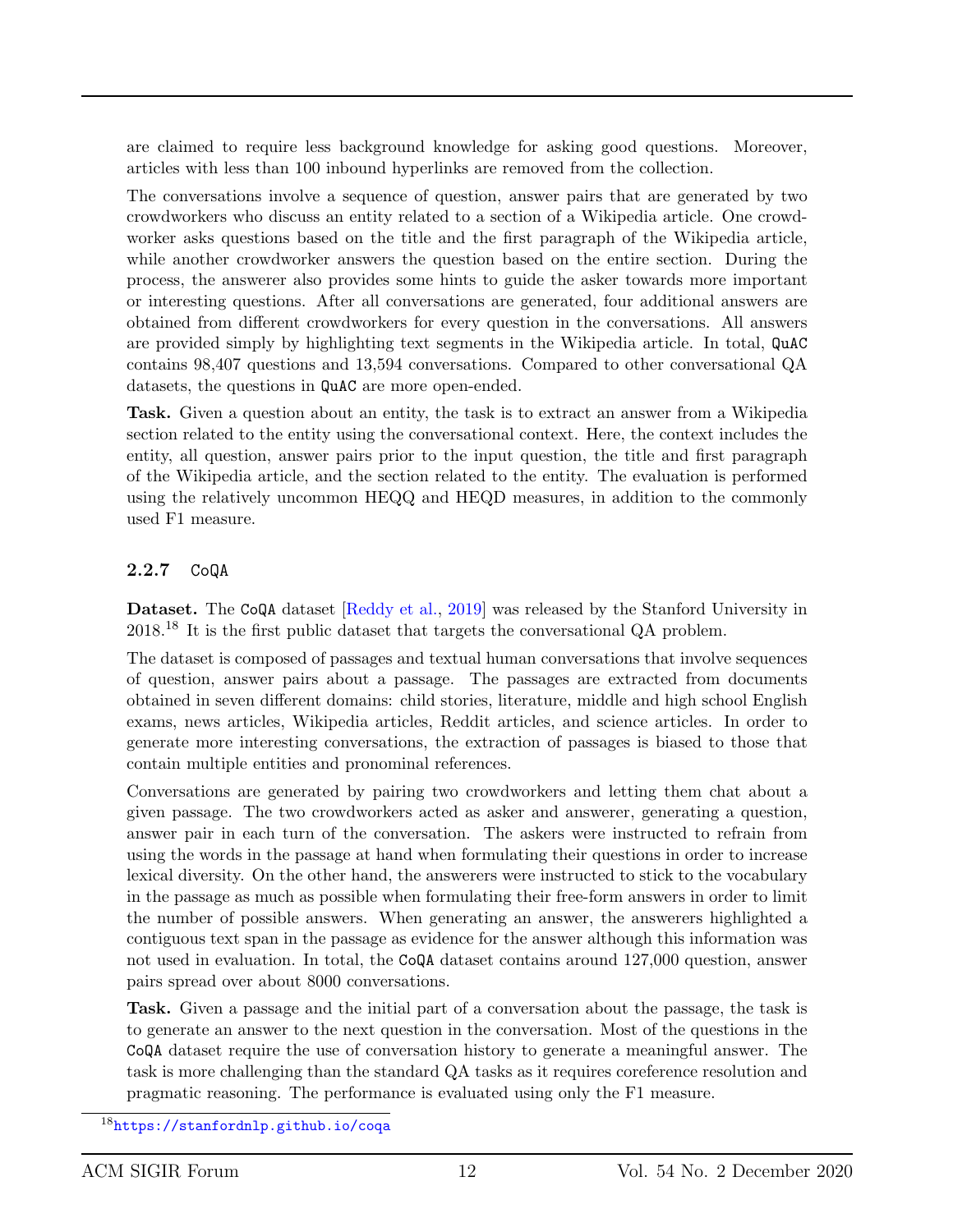are claimed to require less background knowledge for asking good questions. Moreover, articles with less than 100 inbound hyperlinks are removed from the collection.

The conversations involve a sequence of question, answer pairs that are generated by two crowdworkers who discuss an entity related to a section of a Wikipedia article. One crowdworker asks questions based on the title and the first paragraph of the Wikipedia article, while another crowdworker answers the question based on the entire section. During the process, the answerer also provides some hints to guide the asker towards more important or interesting questions. After all conversations are generated, four additional answers are obtained from different crowdworkers for every question in the conversations. All answers are provided simply by highlighting text segments in the Wikipedia article. In total, QuAC contains 98,407 questions and 13,594 conversations. Compared to other conversational QA datasets, the questions in QuAC are more open-ended.

Task. Given a question about an entity, the task is to extract an answer from a Wikipedia section related to the entity using the conversational context. Here, the context includes the entity, all question, answer pairs prior to the input question, the title and first paragraph of the Wikipedia article, and the section related to the entity. The evaluation is performed using the relatively uncommon HEQQ and HEQD measures, in addition to the commonly used F1 measure.

#### 2.2.7 CoQA

Dataset. The CoQA dataset [\[Reddy et al.,](#page-21-7) [2019\]](#page-21-7) was released by the Stanford University in 2018.<sup>18</sup> It is the first public dataset that targets the conversational QA problem.

The dataset is composed of passages and textual human conversations that involve sequences of question, answer pairs about a passage. The passages are extracted from documents obtained in seven different domains: child stories, literature, middle and high school English exams, news articles, Wikipedia articles, Reddit articles, and science articles. In order to generate more interesting conversations, the extraction of passages is biased to those that contain multiple entities and pronominal references.

Conversations are generated by pairing two crowdworkers and letting them chat about a given passage. The two crowdworkers acted as asker and answerer, generating a question, answer pair in each turn of the conversation. The askers were instructed to refrain from using the words in the passage at hand when formulating their questions in order to increase lexical diversity. On the other hand, the answerers were instructed to stick to the vocabulary in the passage as much as possible when formulating their free-form answers in order to limit the number of possible answers. When generating an answer, the answerers highlighted a contiguous text span in the passage as evidence for the answer although this information was not used in evaluation. In total, the CoQA dataset contains around 127,000 question, answer pairs spread over about 8000 conversations.

Task. Given a passage and the initial part of a conversation about the passage, the task is to generate an answer to the next question in the conversation. Most of the questions in the CoQA dataset require the use of conversation history to generate a meaningful answer. The task is more challenging than the standard QA tasks as it requires coreference resolution and pragmatic reasoning. The performance is evaluated using only the F1 measure.

<sup>18</sup><https://stanfordnlp.github.io/coqa>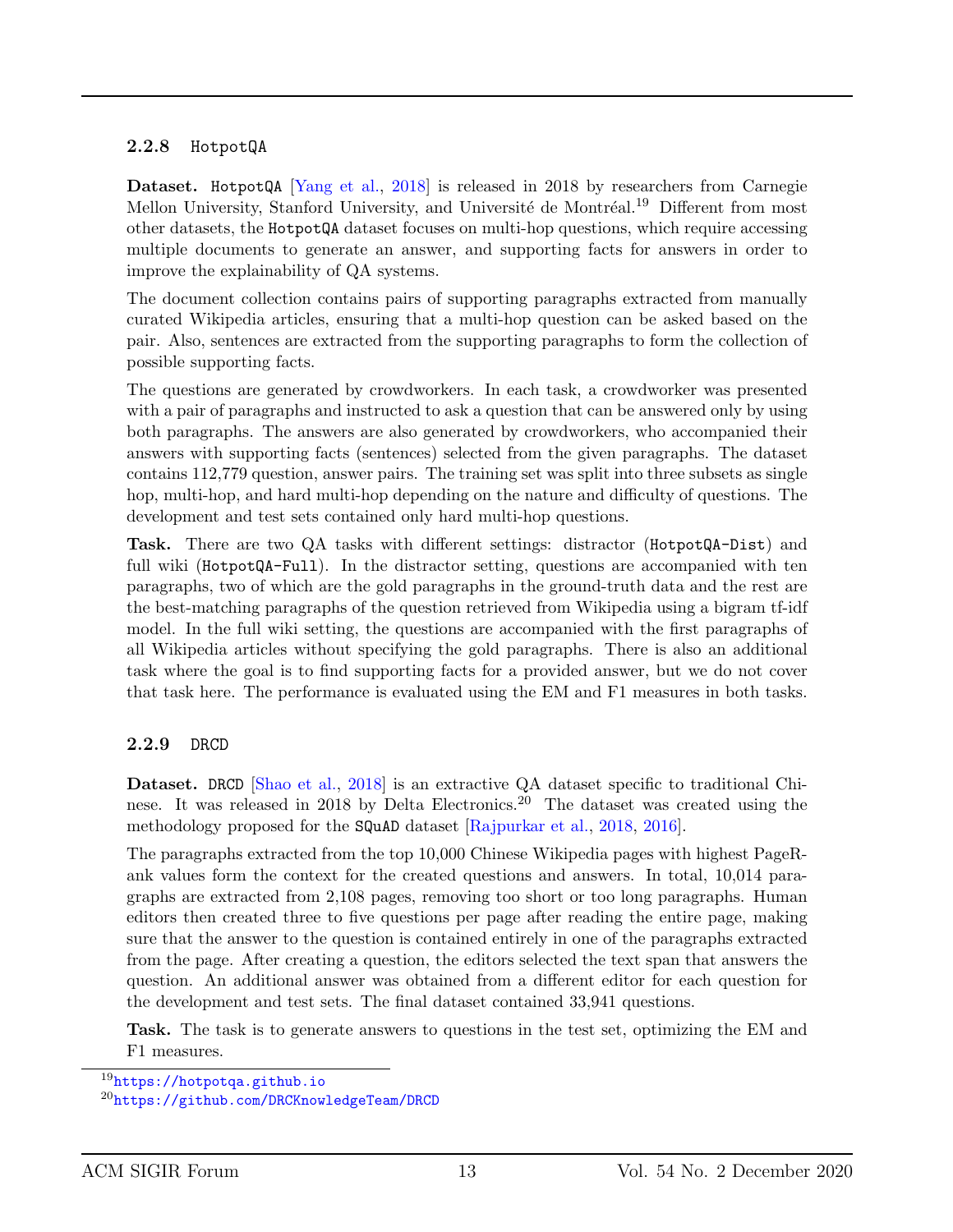#### 2.2.8 HotpotQA

Dataset. HotpotQA [\[Yang et al.,](#page-22-0) [2018\]](#page-22-0) is released in 2018 by researchers from Carnegie Mellon University, Stanford University, and Université de Montréal.<sup>19</sup> Different from most other datasets, the HotpotQA dataset focuses on multi-hop questions, which require accessing multiple documents to generate an answer, and supporting facts for answers in order to improve the explainability of QA systems.

The document collection contains pairs of supporting paragraphs extracted from manually curated Wikipedia articles, ensuring that a multi-hop question can be asked based on the pair. Also, sentences are extracted from the supporting paragraphs to form the collection of possible supporting facts.

The questions are generated by crowdworkers. In each task, a crowdworker was presented with a pair of paragraphs and instructed to ask a question that can be answered only by using both paragraphs. The answers are also generated by crowdworkers, who accompanied their answers with supporting facts (sentences) selected from the given paragraphs. The dataset contains 112,779 question, answer pairs. The training set was split into three subsets as single hop, multi-hop, and hard multi-hop depending on the nature and difficulty of questions. The development and test sets contained only hard multi-hop questions.

Task. There are two QA tasks with different settings: distractor (HotpotQA-Dist) and full wiki (HotpotQA-Full). In the distractor setting, questions are accompanied with ten paragraphs, two of which are the gold paragraphs in the ground-truth data and the rest are the best-matching paragraphs of the question retrieved from Wikipedia using a bigram tf-idf model. In the full wiki setting, the questions are accompanied with the first paragraphs of all Wikipedia articles without specifying the gold paragraphs. There is also an additional task where the goal is to find supporting facts for a provided answer, but we do not cover that task here. The performance is evaluated using the EM and F1 measures in both tasks.

#### 2.2.9 DRCD

Dataset. DRCD [\[Shao et al.,](#page-21-8) [2018\]](#page-21-8) is an extractive QA dataset specific to traditional Chinese. It was released in 2018 by Delta Electronics.<sup>20</sup> The dataset was created using the methodology proposed for the SQuAD dataset [\[Rajpurkar et al.,](#page-21-3) [2018,](#page-21-3) [2016\]](#page-21-4).

The paragraphs extracted from the top 10,000 Chinese Wikipedia pages with highest PageRank values form the context for the created questions and answers. In total, 10,014 paragraphs are extracted from 2,108 pages, removing too short or too long paragraphs. Human editors then created three to five questions per page after reading the entire page, making sure that the answer to the question is contained entirely in one of the paragraphs extracted from the page. After creating a question, the editors selected the text span that answers the question. An additional answer was obtained from a different editor for each question for the development and test sets. The final dataset contained 33,941 questions.

Task. The task is to generate answers to questions in the test set, optimizing the EM and F1 measures.

<sup>19</sup><https://hotpotqa.github.io>

<sup>20</sup><https://github.com/DRCKnowledgeTeam/DRCD>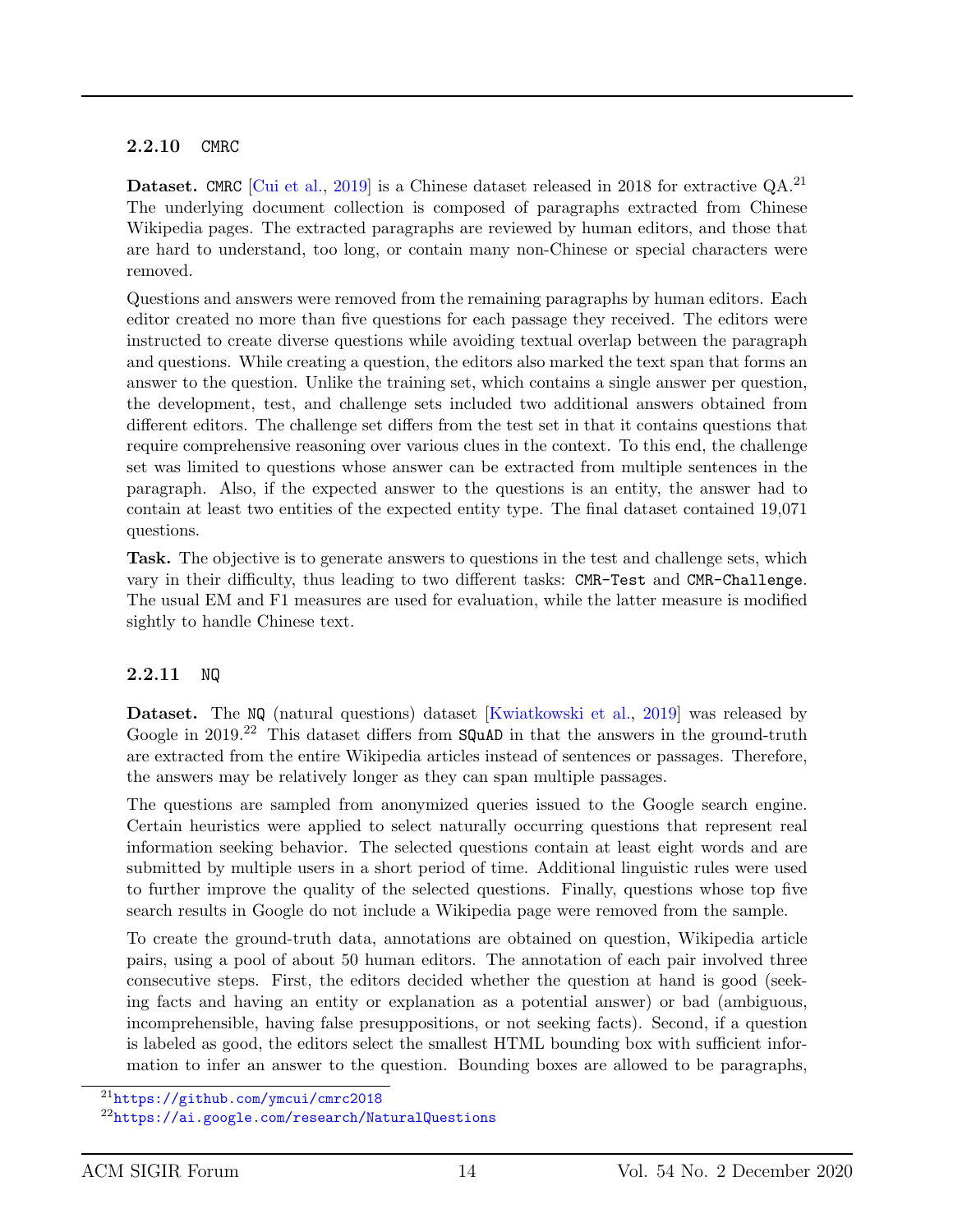#### 2.2.10 CMRC

**Dataset.** CMRC [\[Cui et al.,](#page-19-7) [2019\]](#page-19-7) is a Chinese dataset released in 2018 for extractive  $QA$ .<sup>21</sup> The underlying document collection is composed of paragraphs extracted from Chinese Wikipedia pages. The extracted paragraphs are reviewed by human editors, and those that are hard to understand, too long, or contain many non-Chinese or special characters were removed.

Questions and answers were removed from the remaining paragraphs by human editors. Each editor created no more than five questions for each passage they received. The editors were instructed to create diverse questions while avoiding textual overlap between the paragraph and questions. While creating a question, the editors also marked the text span that forms an answer to the question. Unlike the training set, which contains a single answer per question, the development, test, and challenge sets included two additional answers obtained from different editors. The challenge set differs from the test set in that it contains questions that require comprehensive reasoning over various clues in the context. To this end, the challenge set was limited to questions whose answer can be extracted from multiple sentences in the paragraph. Also, if the expected answer to the questions is an entity, the answer had to contain at least two entities of the expected entity type. The final dataset contained 19,071 questions.

Task. The objective is to generate answers to questions in the test and challenge sets, which vary in their difficulty, thus leading to two different tasks: CMR-Test and CMR-Challenge. The usual EM and F1 measures are used for evaluation, while the latter measure is modified sightly to handle Chinese text.

#### 2.2.11 NQ

Dataset. The NQ (natural questions) dataset [\[Kwiatkowski et al.,](#page-20-9) [2019\]](#page-20-9) was released by Google in 2019.<sup>22</sup> This dataset differs from SQuAD in that the answers in the ground-truth are extracted from the entire Wikipedia articles instead of sentences or passages. Therefore, the answers may be relatively longer as they can span multiple passages.

The questions are sampled from anonymized queries issued to the Google search engine. Certain heuristics were applied to select naturally occurring questions that represent real information seeking behavior. The selected questions contain at least eight words and are submitted by multiple users in a short period of time. Additional linguistic rules were used to further improve the quality of the selected questions. Finally, questions whose top five search results in Google do not include a Wikipedia page were removed from the sample.

To create the ground-truth data, annotations are obtained on question, Wikipedia article pairs, using a pool of about 50 human editors. The annotation of each pair involved three consecutive steps. First, the editors decided whether the question at hand is good (seeking facts and having an entity or explanation as a potential answer) or bad (ambiguous, incomprehensible, having false presuppositions, or not seeking facts). Second, if a question is labeled as good, the editors select the smallest HTML bounding box with sufficient information to infer an answer to the question. Bounding boxes are allowed to be paragraphs,

<sup>21</sup><https://github.com/ymcui/cmrc2018>

<sup>22</sup><https://ai.google.com/research/NaturalQuestions>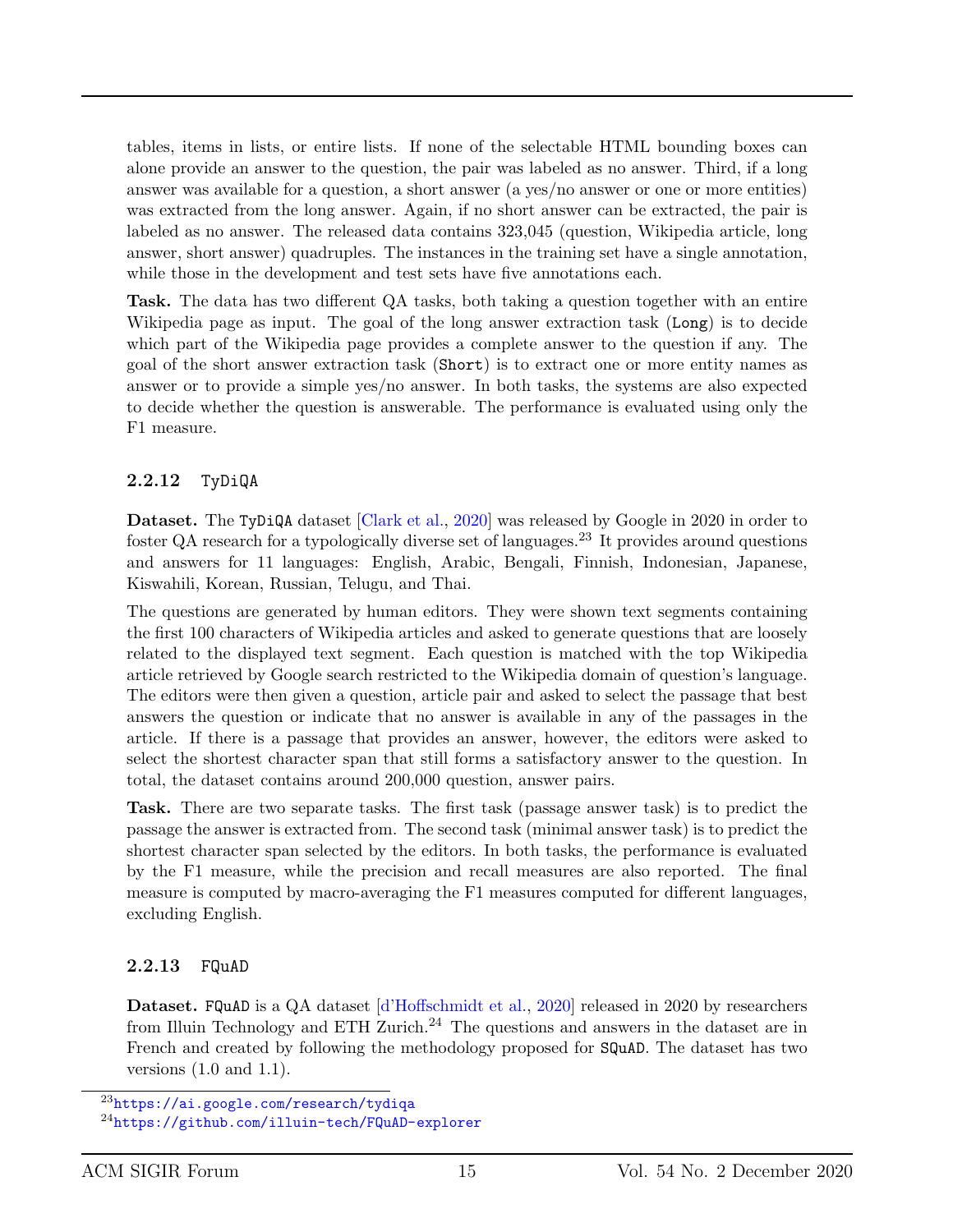tables, items in lists, or entire lists. If none of the selectable HTML bounding boxes can alone provide an answer to the question, the pair was labeled as no answer. Third, if a long answer was available for a question, a short answer (a yes/no answer or one or more entities) was extracted from the long answer. Again, if no short answer can be extracted, the pair is labeled as no answer. The released data contains 323,045 (question, Wikipedia article, long answer, short answer) quadruples. The instances in the training set have a single annotation, while those in the development and test sets have five annotations each.

Task. The data has two different QA tasks, both taking a question together with an entire Wikipedia page as input. The goal of the long answer extraction task (Long) is to decide which part of the Wikipedia page provides a complete answer to the question if any. The goal of the short answer extraction task (Short) is to extract one or more entity names as answer or to provide a simple yes/no answer. In both tasks, the systems are also expected to decide whether the question is answerable. The performance is evaluated using only the F1 measure.

#### 2.2.12 TyDiQA

Dataset. The TyDiQA dataset [\[Clark et al.,](#page-18-7) [2020\]](#page-18-7) was released by Google in 2020 in order to foster QA research for a typologically diverse set of languages.<sup>23</sup> It provides around questions and answers for 11 languages: English, Arabic, Bengali, Finnish, Indonesian, Japanese, Kiswahili, Korean, Russian, Telugu, and Thai.

The questions are generated by human editors. They were shown text segments containing the first 100 characters of Wikipedia articles and asked to generate questions that are loosely related to the displayed text segment. Each question is matched with the top Wikipedia article retrieved by Google search restricted to the Wikipedia domain of question's language. The editors were then given a question, article pair and asked to select the passage that best answers the question or indicate that no answer is available in any of the passages in the article. If there is a passage that provides an answer, however, the editors were asked to select the shortest character span that still forms a satisfactory answer to the question. In total, the dataset contains around 200,000 question, answer pairs.

Task. There are two separate tasks. The first task (passage answer task) is to predict the passage the answer is extracted from. The second task (minimal answer task) is to predict the shortest character span selected by the editors. In both tasks, the performance is evaluated by the F1 measure, while the precision and recall measures are also reported. The final measure is computed by macro-averaging the F1 measures computed for different languages, excluding English.

#### 2.2.13 FQuAD

Dataset. FQuAD is a QA dataset [\[d'Hoffschmidt et al.,](#page-19-8) [2020\]](#page-19-8) released in 2020 by researchers from Illuin Technology and ETH Zurich.<sup>24</sup> The questions and answers in the dataset are in French and created by following the methodology proposed for **SQuAD**. The dataset has two versions (1.0 and 1.1).

<sup>23</sup><https://ai.google.com/research/tydiqa>

<sup>24</sup><https://github.com/illuin-tech/FQuAD-explorer>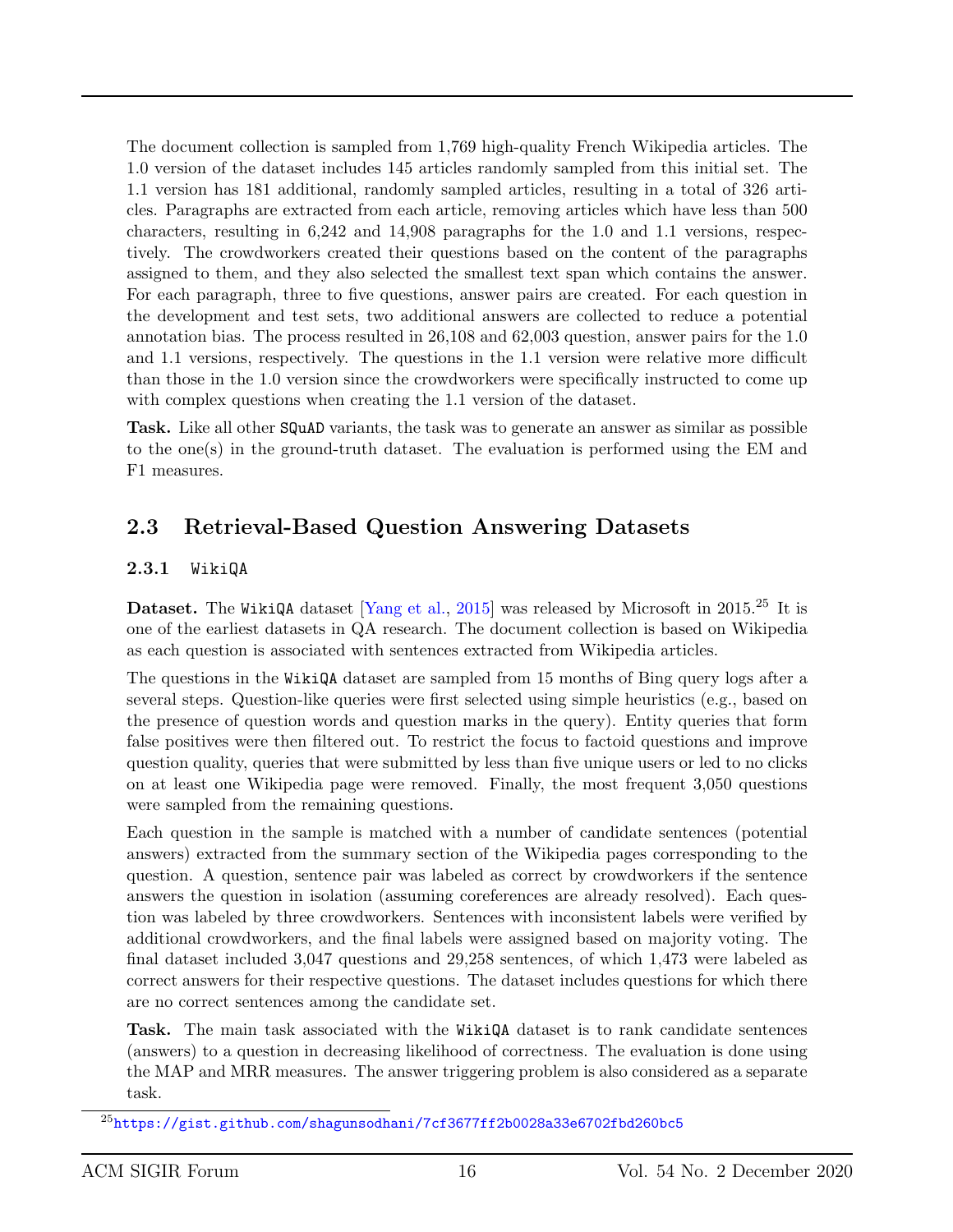The document collection is sampled from 1,769 high-quality French Wikipedia articles. The 1.0 version of the dataset includes 145 articles randomly sampled from this initial set. The 1.1 version has 181 additional, randomly sampled articles, resulting in a total of 326 articles. Paragraphs are extracted from each article, removing articles which have less than 500 characters, resulting in 6,242 and 14,908 paragraphs for the 1.0 and 1.1 versions, respectively. The crowdworkers created their questions based on the content of the paragraphs assigned to them, and they also selected the smallest text span which contains the answer. For each paragraph, three to five questions, answer pairs are created. For each question in the development and test sets, two additional answers are collected to reduce a potential annotation bias. The process resulted in 26,108 and 62,003 question, answer pairs for the 1.0 and 1.1 versions, respectively. The questions in the 1.1 version were relative more difficult than those in the 1.0 version since the crowdworkers were specifically instructed to come up with complex questions when creating the 1.1 version of the dataset.

Task. Like all other SQuAD variants, the task was to generate an answer as similar as possible to the one(s) in the ground-truth dataset. The evaluation is performed using the EM and F1 measures.

### 2.3 Retrieval-Based Question Answering Datasets

#### 2.3.1 WikiQA

Dataset. The WikiQA dataset [\[Yang et al.,](#page-21-9) [2015\]](#page-21-9) was released by Microsoft in 2015.<sup>25</sup> It is one of the earliest datasets in QA research. The document collection is based on Wikipedia as each question is associated with sentences extracted from Wikipedia articles.

The questions in the WikiQA dataset are sampled from 15 months of Bing query logs after a several steps. Question-like queries were first selected using simple heuristics (e.g., based on the presence of question words and question marks in the query). Entity queries that form false positives were then filtered out. To restrict the focus to factoid questions and improve question quality, queries that were submitted by less than five unique users or led to no clicks on at least one Wikipedia page were removed. Finally, the most frequent 3,050 questions were sampled from the remaining questions.

Each question in the sample is matched with a number of candidate sentences (potential answers) extracted from the summary section of the Wikipedia pages corresponding to the question. A question, sentence pair was labeled as correct by crowdworkers if the sentence answers the question in isolation (assuming coreferences are already resolved). Each question was labeled by three crowdworkers. Sentences with inconsistent labels were verified by additional crowdworkers, and the final labels were assigned based on majority voting. The final dataset included 3,047 questions and 29,258 sentences, of which 1,473 were labeled as correct answers for their respective questions. The dataset includes questions for which there are no correct sentences among the candidate set.

Task. The main task associated with the WikiQA dataset is to rank candidate sentences (answers) to a question in decreasing likelihood of correctness. The evaluation is done using the MAP and MRR measures. The answer triggering problem is also considered as a separate task.

 $^{25}$ <https://gist.github.com/shagunsodhani/7cf3677ff2b0028a33e6702fbd260bc5>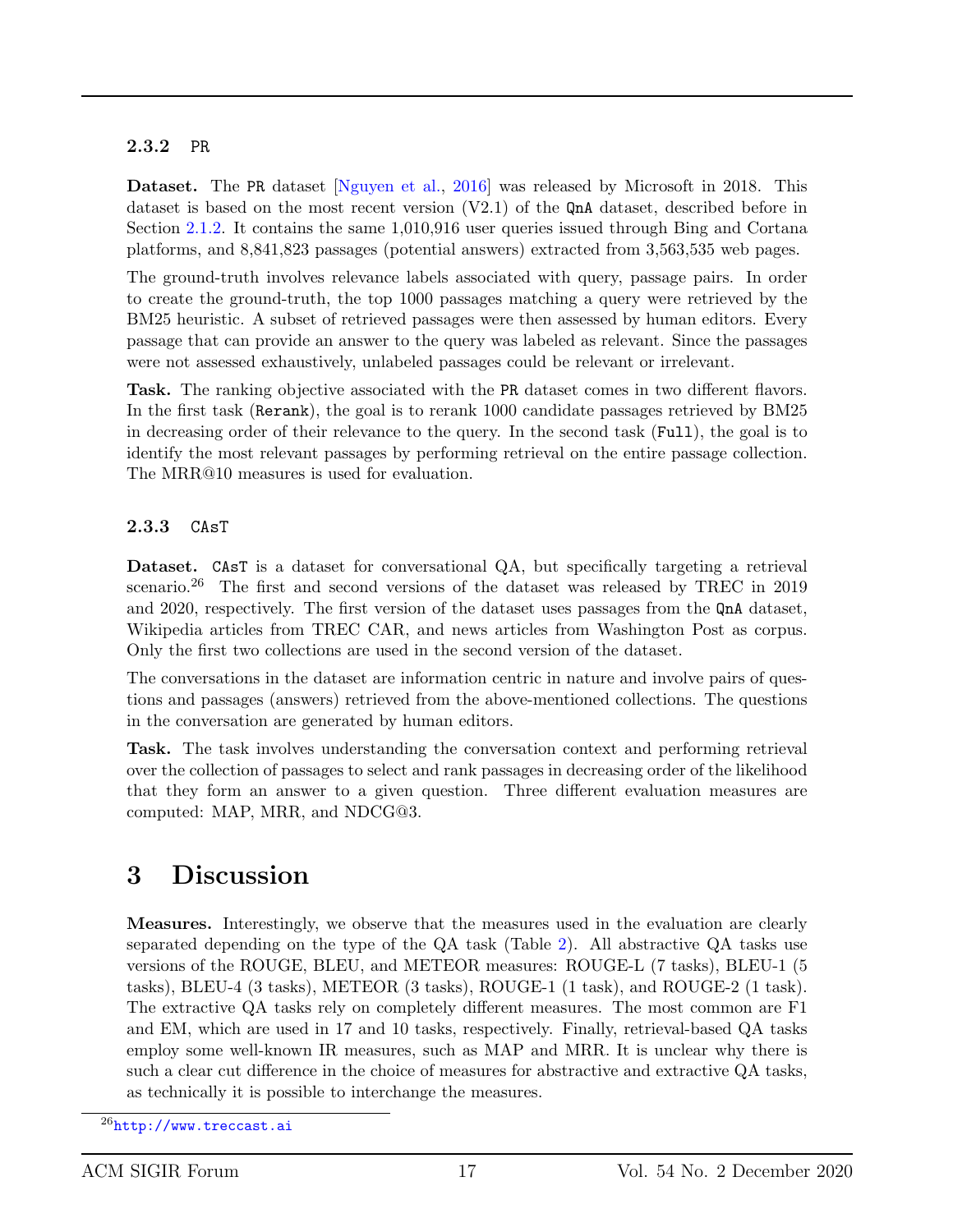#### 2.3.2 PR

Dataset. The PR dataset [\[Nguyen et al.,](#page-20-6) [2016\]](#page-20-6) was released by Microsoft in 2018. This dataset is based on the most recent version (V2.1) of the QnA dataset, described before in Section [2.1.2.](#page-3-1) It contains the same 1,010,916 user queries issued through Bing and Cortana platforms, and 8,841,823 passages (potential answers) extracted from 3,563,535 web pages.

The ground-truth involves relevance labels associated with query, passage pairs. In order to create the ground-truth, the top 1000 passages matching a query were retrieved by the BM25 heuristic. A subset of retrieved passages were then assessed by human editors. Every passage that can provide an answer to the query was labeled as relevant. Since the passages were not assessed exhaustively, unlabeled passages could be relevant or irrelevant.

Task. The ranking objective associated with the PR dataset comes in two different flavors. In the first task (Rerank), the goal is to rerank 1000 candidate passages retrieved by BM25 in decreasing order of their relevance to the query. In the second task (Full), the goal is to identify the most relevant passages by performing retrieval on the entire passage collection. The MRR@10 measures is used for evaluation.

#### 2.3.3 CAsT

Dataset. CAsT is a dataset for conversational QA, but specifically targeting a retrieval scenario.<sup>26</sup> The first and second versions of the dataset was released by TREC in 2019 and 2020, respectively. The first version of the dataset uses passages from the QnA dataset, Wikipedia articles from TREC CAR, and news articles from Washington Post as corpus. Only the first two collections are used in the second version of the dataset.

The conversations in the dataset are information centric in nature and involve pairs of questions and passages (answers) retrieved from the above-mentioned collections. The questions in the conversation are generated by human editors.

Task. The task involves understanding the conversation context and performing retrieval over the collection of passages to select and rank passages in decreasing order of the likelihood that they form an answer to a given question. Three different evaluation measures are computed: MAP, MRR, and NDCG@3.

## 3 Discussion

Measures. Interestingly, we observe that the measures used in the evaluation are clearly separated depending on the type of the QA task (Table [2\)](#page-4-0). All abstractive QA tasks use versions of the ROUGE, BLEU, and METEOR measures: ROUGE-L (7 tasks), BLEU-1 (5 tasks), BLEU-4 (3 tasks), METEOR (3 tasks), ROUGE-1 (1 task), and ROUGE-2 (1 task). The extractive QA tasks rely on completely different measures. The most common are F1 and EM, which are used in 17 and 10 tasks, respectively. Finally, retrieval-based QA tasks employ some well-known IR measures, such as MAP and MRR. It is unclear why there is such a clear cut difference in the choice of measures for abstractive and extractive QA tasks, as technically it is possible to interchange the measures.

 $^{26}$ <http://www.treccast.ai>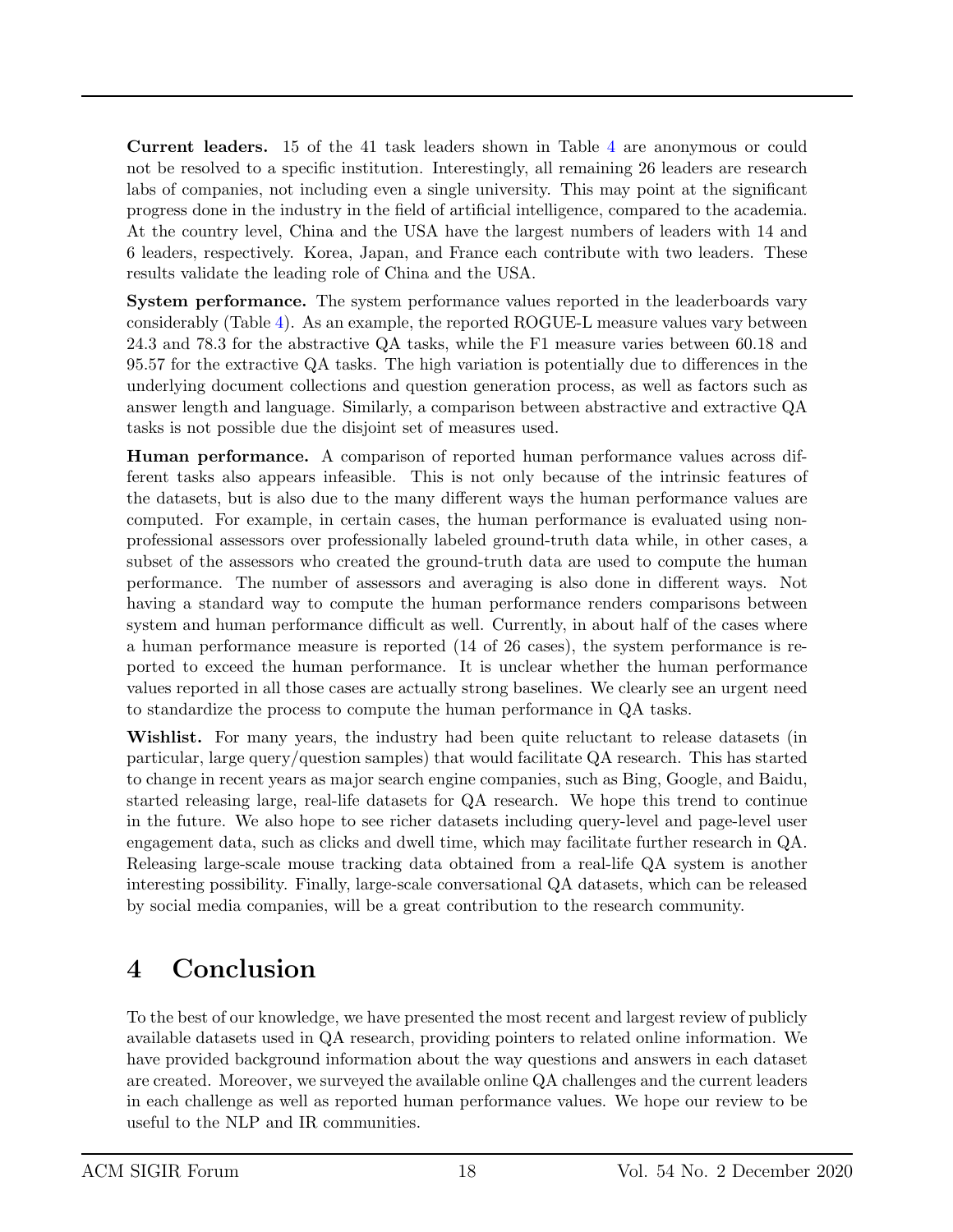Current leaders. 15 of the 41 task leaders shown in Table [4](#page-6-0) are anonymous or could not be resolved to a specific institution. Interestingly, all remaining 26 leaders are research labs of companies, not including even a single university. This may point at the significant progress done in the industry in the field of artificial intelligence, compared to the academia. At the country level, China and the USA have the largest numbers of leaders with 14 and 6 leaders, respectively. Korea, Japan, and France each contribute with two leaders. These results validate the leading role of China and the USA.

System performance. The system performance values reported in the leaderboards vary considerably (Table [4\)](#page-6-0). As an example, the reported ROGUE-L measure values vary between 24.3 and 78.3 for the abstractive QA tasks, while the F1 measure varies between 60.18 and 95.57 for the extractive QA tasks. The high variation is potentially due to differences in the underlying document collections and question generation process, as well as factors such as answer length and language. Similarly, a comparison between abstractive and extractive QA tasks is not possible due the disjoint set of measures used.

Human performance. A comparison of reported human performance values across different tasks also appears infeasible. This is not only because of the intrinsic features of the datasets, but is also due to the many different ways the human performance values are computed. For example, in certain cases, the human performance is evaluated using nonprofessional assessors over professionally labeled ground-truth data while, in other cases, a subset of the assessors who created the ground-truth data are used to compute the human performance. The number of assessors and averaging is also done in different ways. Not having a standard way to compute the human performance renders comparisons between system and human performance difficult as well. Currently, in about half of the cases where a human performance measure is reported (14 of 26 cases), the system performance is reported to exceed the human performance. It is unclear whether the human performance values reported in all those cases are actually strong baselines. We clearly see an urgent need to standardize the process to compute the human performance in QA tasks.

Wishlist. For many years, the industry had been quite reluctant to release datasets (in particular, large query/question samples) that would facilitate QA research. This has started to change in recent years as major search engine companies, such as Bing, Google, and Baidu, started releasing large, real-life datasets for QA research. We hope this trend to continue in the future. We also hope to see richer datasets including query-level and page-level user engagement data, such as clicks and dwell time, which may facilitate further research in QA. Releasing large-scale mouse tracking data obtained from a real-life QA system is another interesting possibility. Finally, large-scale conversational QA datasets, which can be released by social media companies, will be a great contribution to the research community.

## 4 Conclusion

To the best of our knowledge, we have presented the most recent and largest review of publicly available datasets used in QA research, providing pointers to related online information. We have provided background information about the way questions and answers in each dataset are created. Moreover, we surveyed the available online QA challenges and the current leaders in each challenge as well as reported human performance values. We hope our review to be useful to the NLP and IR communities.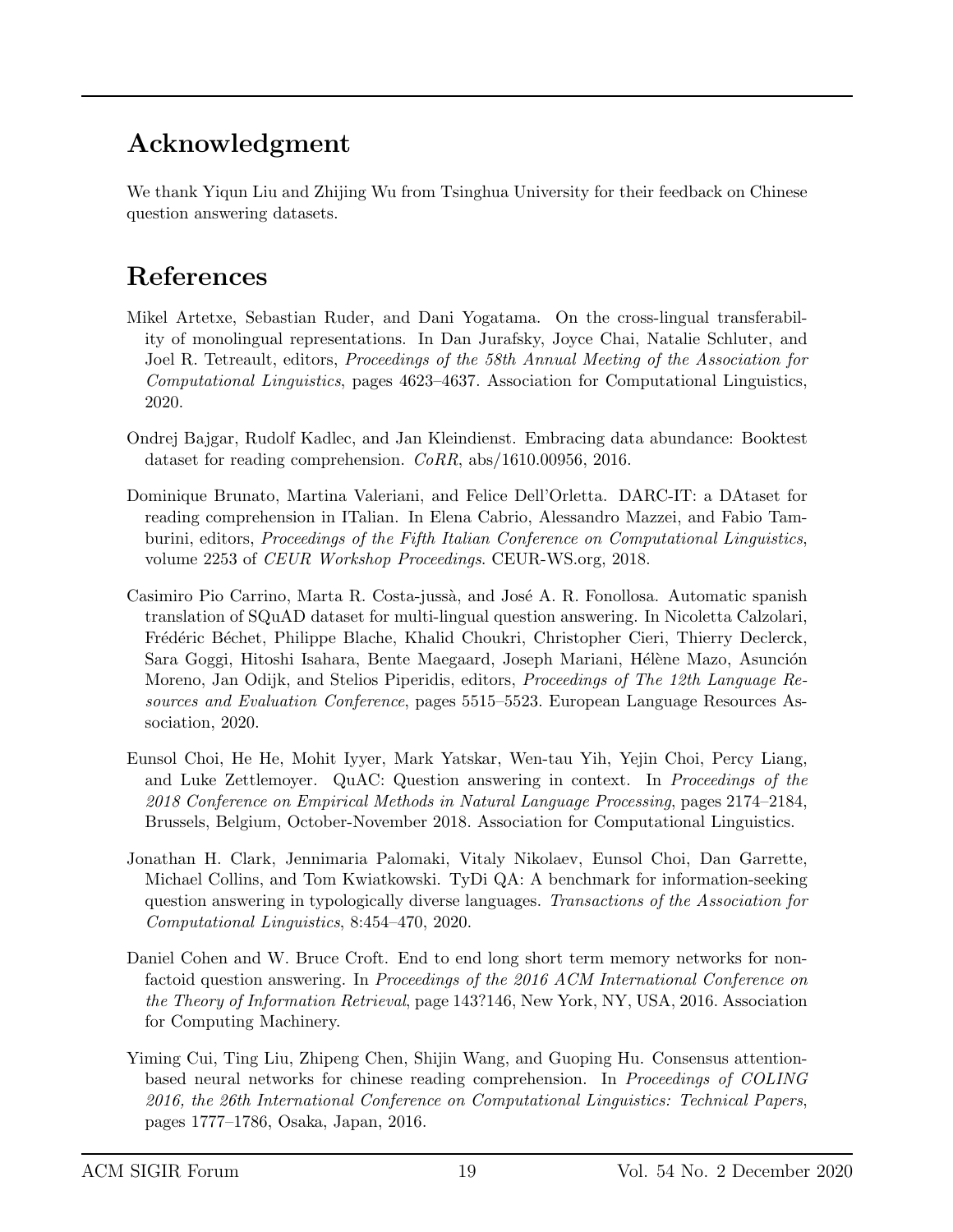## Acknowledgment

We thank Yiqun Liu and Zhijing Wu from Tsinghua University for their feedback on Chinese question answering datasets.

## References

- <span id="page-18-4"></span>Mikel Artetxe, Sebastian Ruder, and Dani Yogatama. On the cross-lingual transferability of monolingual representations. In Dan Jurafsky, Joyce Chai, Natalie Schluter, and Joel R. Tetreault, editors, *Proceedings of the 58th Annual Meeting of the Association for* Computational Linguistics, pages 4623–4637. Association for Computational Linguistics, 2020.
- <span id="page-18-1"></span>Ondrej Bajgar, Rudolf Kadlec, and Jan Kleindienst. Embracing data abundance: Booktest dataset for reading comprehension. CoRR, abs/1610.00956, 2016.
- <span id="page-18-5"></span>Dominique Brunato, Martina Valeriani, and Felice Dell'Orletta. DARC-IT: a DAtaset for reading comprehension in ITalian. In Elena Cabrio, Alessandro Mazzei, and Fabio Tamburini, editors, Proceedings of the Fifth Italian Conference on Computational Linguistics, volume 2253 of CEUR Workshop Proceedings. CEUR-WS.org, 2018.
- <span id="page-18-3"></span>Casimiro Pio Carrino, Marta R. Costa-jussà, and José A. R. Fonollosa. Automatic spanish translation of SQuAD dataset for multi-lingual question answering. In Nicoletta Calzolari, Frédéric Béchet, Philippe Blache, Khalid Choukri, Christopher Cieri, Thierry Declerck, Sara Goggi, Hitoshi Isahara, Bente Maegaard, Joseph Mariani, Hélène Mazo, Asunción Moreno, Jan Odijk, and Stelios Piperidis, editors, Proceedings of The 12th Language Resources and Evaluation Conference, pages 5515–5523. European Language Resources Association, 2020.
- <span id="page-18-6"></span>Eunsol Choi, He He, Mohit Iyyer, Mark Yatskar, Wen-tau Yih, Yejin Choi, Percy Liang, and Luke Zettlemoyer. QuAC: Question answering in context. In Proceedings of the 2018 Conference on Empirical Methods in Natural Language Processing, pages 2174–2184, Brussels, Belgium, October-November 2018. Association for Computational Linguistics.
- <span id="page-18-7"></span>Jonathan H. Clark, Jennimaria Palomaki, Vitaly Nikolaev, Eunsol Choi, Dan Garrette, Michael Collins, and Tom Kwiatkowski. TyDi QA: A benchmark for information-seeking question answering in typologically diverse languages. Transactions of the Association for Computational Linguistics, 8:454–470, 2020.
- <span id="page-18-0"></span>Daniel Cohen and W. Bruce Croft. End to end long short term memory networks for nonfactoid question answering. In *Proceedings of the 2016 ACM International Conference on* the Theory of Information Retrieval, page 143?146, New York, NY, USA, 2016. Association for Computing Machinery.
- <span id="page-18-2"></span>Yiming Cui, Ting Liu, Zhipeng Chen, Shijin Wang, and Guoping Hu. Consensus attentionbased neural networks for chinese reading comprehension. In Proceedings of COLING 2016, the 26th International Conference on Computational Linguistics: Technical Papers, pages 1777–1786, Osaka, Japan, 2016.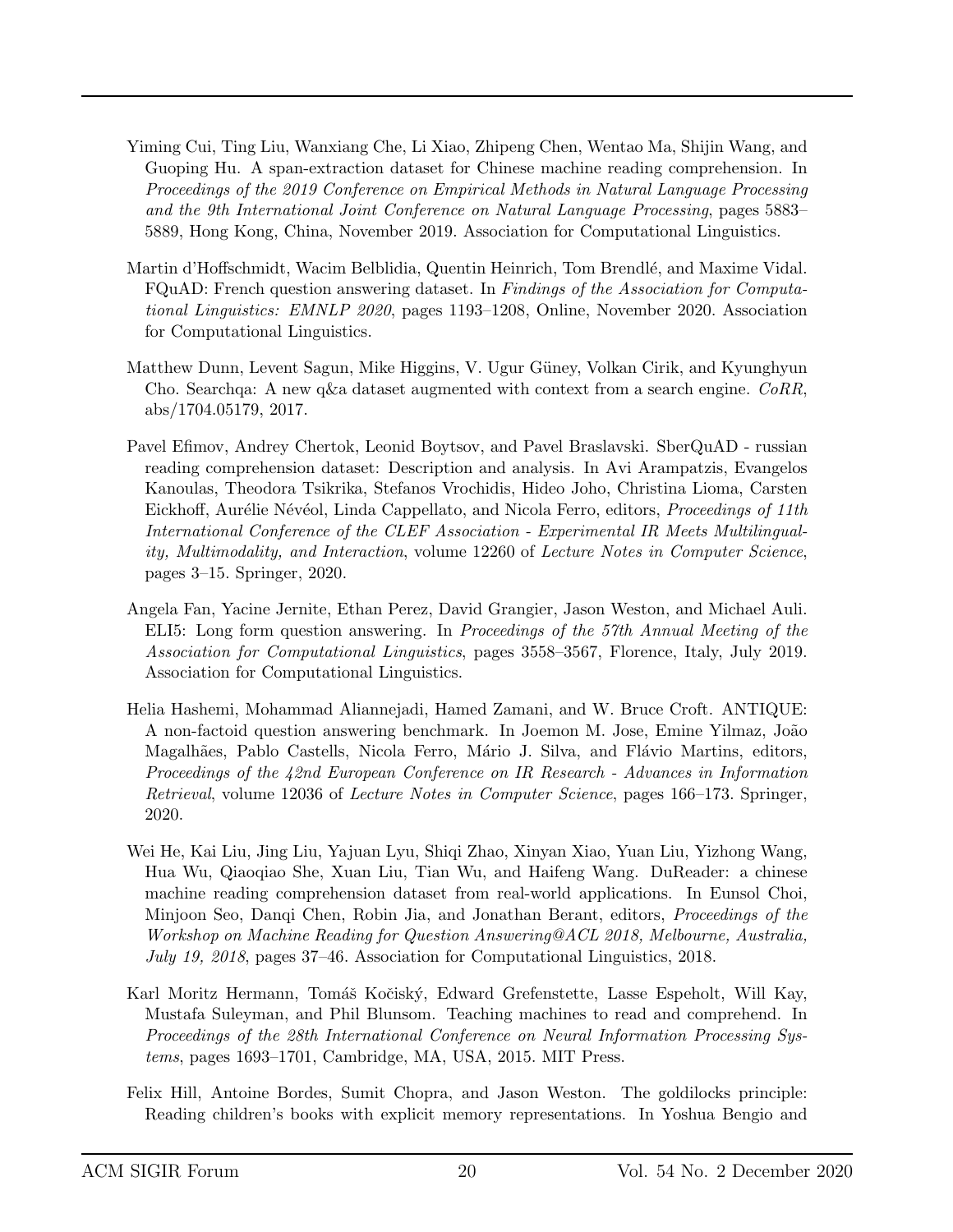- <span id="page-19-7"></span>Yiming Cui, Ting Liu, Wanxiang Che, Li Xiao, Zhipeng Chen, Wentao Ma, Shijin Wang, and Guoping Hu. A span-extraction dataset for Chinese machine reading comprehension. In Proceedings of the 2019 Conference on Empirical Methods in Natural Language Processing and the 9th International Joint Conference on Natural Language Processing, pages 5883– 5889, Hong Kong, China, November 2019. Association for Computational Linguistics.
- <span id="page-19-8"></span>Martin d'Hoffschmidt, Wacim Belblidia, Quentin Heinrich, Tom Brendlé, and Maxime Vidal. FQuAD: French question answering dataset. In Findings of the Association for Computational Linguistics: EMNLP 2020, pages 1193–1208, Online, November 2020. Association for Computational Linguistics.
- <span id="page-19-6"></span>Matthew Dunn, Levent Sagun, Mike Higgins, V. Ugur Güney, Volkan Cirik, and Kyunghyun Cho. Searchqa: A new q&a dataset augmented with context from a search engine.  $CoRR$ , abs/1704.05179, 2017.
- <span id="page-19-3"></span>Pavel Efimov, Andrey Chertok, Leonid Boytsov, and Pavel Braslavski. SberQuAD - russian reading comprehension dataset: Description and analysis. In Avi Arampatzis, Evangelos Kanoulas, Theodora Tsikrika, Stefanos Vrochidis, Hideo Joho, Christina Lioma, Carsten Eickhoff, Aurélie Névéol, Linda Cappellato, and Nicola Ferro, editors, *Proceedings of 11th* International Conference of the CLEF Association - Experimental IR Meets Multilinguality, Multimodality, and Interaction, volume 12260 of Lecture Notes in Computer Science, pages 3–15. Springer, 2020.
- <span id="page-19-5"></span>Angela Fan, Yacine Jernite, Ethan Perez, David Grangier, Jason Weston, and Michael Auli. ELI5: Long form question answering. In Proceedings of the 57th Annual Meeting of the Association for Computational Linguistics, pages 3558–3567, Florence, Italy, July 2019. Association for Computational Linguistics.
- <span id="page-19-0"></span>Helia Hashemi, Mohammad Aliannejadi, Hamed Zamani, and W. Bruce Croft. ANTIQUE: A non-factoid question answering benchmark. In Joemon M. Jose, Emine Yilmaz, João Magalhães, Pablo Castells, Nicola Ferro, Mário J. Silva, and Flávio Martins, editors, Proceedings of the 42nd European Conference on IR Research - Advances in Information Retrieval, volume 12036 of Lecture Notes in Computer Science, pages 166–173. Springer, 2020.
- <span id="page-19-4"></span>Wei He, Kai Liu, Jing Liu, Yajuan Lyu, Shiqi Zhao, Xinyan Xiao, Yuan Liu, Yizhong Wang, Hua Wu, Qiaoqiao She, Xuan Liu, Tian Wu, and Haifeng Wang. DuReader: a chinese machine reading comprehension dataset from real-world applications. In Eunsol Choi, Minjoon Seo, Danqi Chen, Robin Jia, and Jonathan Berant, editors, Proceedings of the Workshop on Machine Reading for Question Answering@ACL 2018, Melbourne, Australia, July 19, 2018, pages 37–46. Association for Computational Linguistics, 2018.
- <span id="page-19-1"></span>Karl Moritz Hermann, Tomáš Kočiský, Edward Grefenstette, Lasse Espeholt, Will Kay, Mustafa Suleyman, and Phil Blunsom. Teaching machines to read and comprehend. In Proceedings of the 28th International Conference on Neural Information Processing Systems, pages 1693–1701, Cambridge, MA, USA, 2015. MIT Press.
- <span id="page-19-2"></span>Felix Hill, Antoine Bordes, Sumit Chopra, and Jason Weston. The goldilocks principle: Reading children's books with explicit memory representations. In Yoshua Bengio and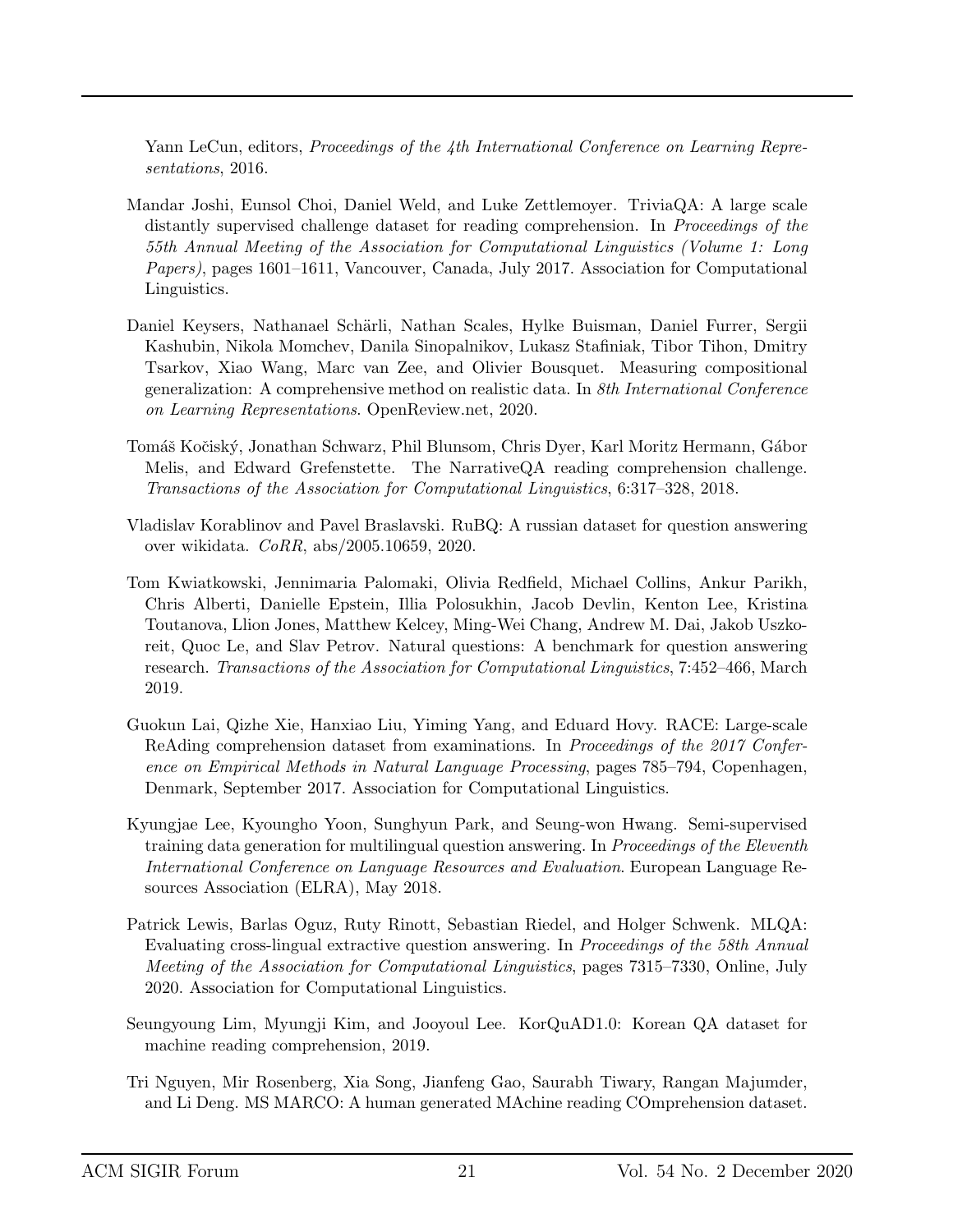Yann LeCun, editors, *Proceedings of the 4th International Conference on Learning Repre*sentations, 2016.

- <span id="page-20-7"></span>Mandar Joshi, Eunsol Choi, Daniel Weld, and Luke Zettlemoyer. TriviaQA: A large scale distantly supervised challenge dataset for reading comprehension. In *Proceedings of the* 55th Annual Meeting of the Association for Computational Linguistics (Volume 1: Long Papers), pages 1601–1611, Vancouver, Canada, July 2017. Association for Computational Linguistics.
- <span id="page-20-0"></span>Daniel Keysers, Nathanael Schärli, Nathan Scales, Hylke Buisman, Daniel Furrer, Sergii Kashubin, Nikola Momchev, Danila Sinopalnikov, Lukasz Stafiniak, Tibor Tihon, Dmitry Tsarkov, Xiao Wang, Marc van Zee, and Olivier Bousquet. Measuring compositional generalization: A comprehensive method on realistic data. In 8th International Conference on Learning Representations. OpenReview.net, 2020.
- <span id="page-20-5"></span>Tomáš Kočiský, Jonathan Schwarz, Phil Blunsom, Chris Dyer, Karl Moritz Hermann, Gábor Melis, and Edward Grefenstette. The NarrativeQA reading comprehension challenge. Transactions of the Association for Computational Linguistics, 6:317–328, 2018.
- <span id="page-20-1"></span>Vladislav Korablinov and Pavel Braslavski. RuBQ: A russian dataset for question answering over wikidata. CoRR, abs/2005.10659, 2020.
- <span id="page-20-9"></span>Tom Kwiatkowski, Jennimaria Palomaki, Olivia Redfield, Michael Collins, Ankur Parikh, Chris Alberti, Danielle Epstein, Illia Polosukhin, Jacob Devlin, Kenton Lee, Kristina Toutanova, Llion Jones, Matthew Kelcey, Ming-Wei Chang, Andrew M. Dai, Jakob Uszkoreit, Quoc Le, and Slav Petrov. Natural questions: A benchmark for question answering research. Transactions of the Association for Computational Linguistics, 7:452–466, March 2019.
- <span id="page-20-2"></span>Guokun Lai, Qizhe Xie, Hanxiao Liu, Yiming Yang, and Eduard Hovy. RACE: Large-scale ReAding comprehension dataset from examinations. In Proceedings of the 2017 Conference on Empirical Methods in Natural Language Processing, pages 785–794, Copenhagen, Denmark, September 2017. Association for Computational Linguistics.
- <span id="page-20-3"></span>Kyungjae Lee, Kyoungho Yoon, Sunghyun Park, and Seung-won Hwang. Semi-supervised training data generation for multilingual question answering. In *Proceedings of the Eleventh* International Conference on Language Resources and Evaluation. European Language Resources Association (ELRA), May 2018.
- <span id="page-20-4"></span>Patrick Lewis, Barlas Oguz, Ruty Rinott, Sebastian Riedel, and Holger Schwenk. MLQA: Evaluating cross-lingual extractive question answering. In Proceedings of the 58th Annual Meeting of the Association for Computational Linguistics, pages 7315–7330, Online, July 2020. Association for Computational Linguistics.
- <span id="page-20-8"></span>Seungyoung Lim, Myungji Kim, and Jooyoul Lee. KorQuAD1.0: Korean QA dataset for machine reading comprehension, 2019.
- <span id="page-20-6"></span>Tri Nguyen, Mir Rosenberg, Xia Song, Jianfeng Gao, Saurabh Tiwary, Rangan Majumder, and Li Deng. MS MARCO: A human generated MAchine reading COmprehension dataset.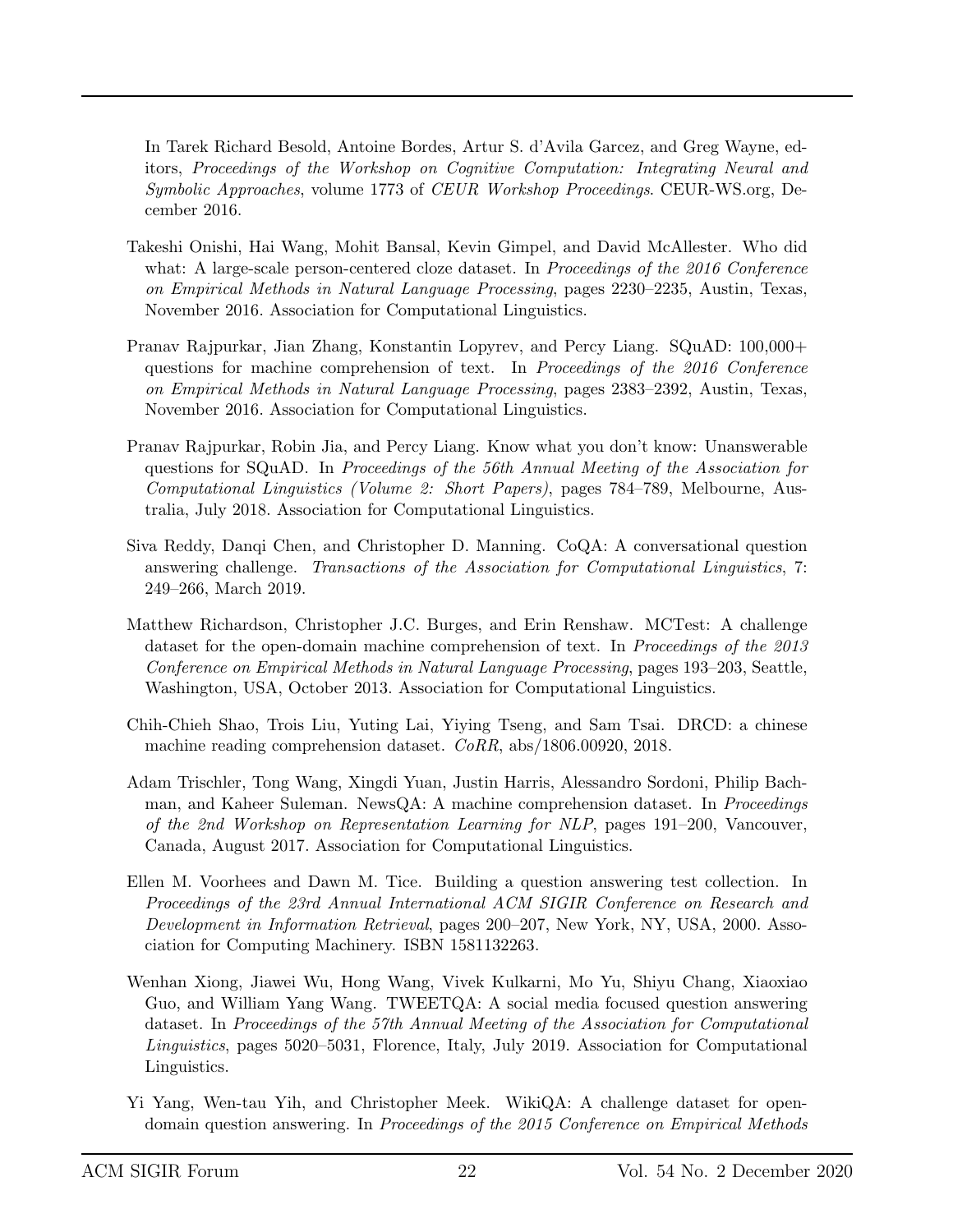In Tarek Richard Besold, Antoine Bordes, Artur S. d'Avila Garcez, and Greg Wayne, editors, Proceedings of the Workshop on Cognitive Computation: Integrating Neural and Symbolic Approaches, volume 1773 of CEUR Workshop Proceedings. CEUR-WS.org, December 2016.

- <span id="page-21-0"></span>Takeshi Onishi, Hai Wang, Mohit Bansal, Kevin Gimpel, and David McAllester. Who did what: A large-scale person-centered cloze dataset. In *Proceedings of the 2016 Conference* on Empirical Methods in Natural Language Processing, pages 2230–2235, Austin, Texas, November 2016. Association for Computational Linguistics.
- <span id="page-21-4"></span>Pranav Rajpurkar, Jian Zhang, Konstantin Lopyrev, and Percy Liang. SQuAD: 100,000+ questions for machine comprehension of text. In Proceedings of the 2016 Conference on Empirical Methods in Natural Language Processing, pages 2383–2392, Austin, Texas, November 2016. Association for Computational Linguistics.
- <span id="page-21-3"></span>Pranav Rajpurkar, Robin Jia, and Percy Liang. Know what you don't know: Unanswerable questions for SQuAD. In Proceedings of the 56th Annual Meeting of the Association for Computational Linguistics (Volume 2: Short Papers), pages 784–789, Melbourne, Australia, July 2018. Association for Computational Linguistics.
- <span id="page-21-7"></span>Siva Reddy, Danqi Chen, and Christopher D. Manning. CoQA: A conversational question answering challenge. Transactions of the Association for Computational Linguistics, 7: 249–266, March 2019.
- <span id="page-21-1"></span>Matthew Richardson, Christopher J.C. Burges, and Erin Renshaw. MCTest: A challenge dataset for the open-domain machine comprehension of text. In *Proceedings of the 2013* Conference on Empirical Methods in Natural Language Processing, pages 193–203, Seattle, Washington, USA, October 2013. Association for Computational Linguistics.
- <span id="page-21-8"></span>Chih-Chieh Shao, Trois Liu, Yuting Lai, Yiying Tseng, and Sam Tsai. DRCD: a chinese machine reading comprehension dataset. CoRR, abs/1806.00920, 2018.
- <span id="page-21-6"></span>Adam Trischler, Tong Wang, Xingdi Yuan, Justin Harris, Alessandro Sordoni, Philip Bachman, and Kaheer Suleman. NewsQA: A machine comprehension dataset. In *Proceedings* of the 2nd Workshop on Representation Learning for NLP, pages 191–200, Vancouver, Canada, August 2017. Association for Computational Linguistics.
- <span id="page-21-2"></span>Ellen M. Voorhees and Dawn M. Tice. Building a question answering test collection. In Proceedings of the 23rd Annual International ACM SIGIR Conference on Research and Development in Information Retrieval, pages 200–207, New York, NY, USA, 2000. Association for Computing Machinery. ISBN 1581132263.
- <span id="page-21-5"></span>Wenhan Xiong, Jiawei Wu, Hong Wang, Vivek Kulkarni, Mo Yu, Shiyu Chang, Xiaoxiao Guo, and William Yang Wang. TWEETQA: A social media focused question answering dataset. In Proceedings of the 57th Annual Meeting of the Association for Computational Linguistics, pages 5020–5031, Florence, Italy, July 2019. Association for Computational Linguistics.
- <span id="page-21-9"></span>Yi Yang, Wen-tau Yih, and Christopher Meek. WikiQA: A challenge dataset for opendomain question answering. In Proceedings of the 2015 Conference on Empirical Methods